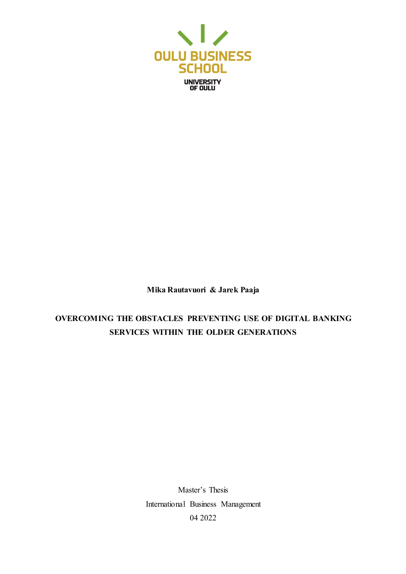

**Mika Rautavuori & Jarek Paaja**

# **OVERCOMING THE OBSTACLES PREVENTING USE OF DIGITAL BANKING SERVICES WITHIN THE OLDER GENERATIONS**

Master's Thesis International Business Management 04 2022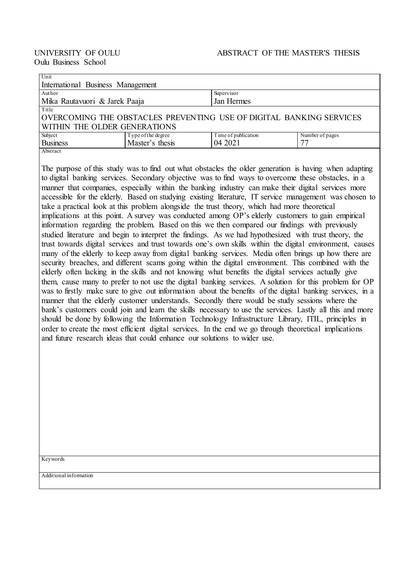| Unit                                                                |                                       |                     |                 |  |  |  |  |
|---------------------------------------------------------------------|---------------------------------------|---------------------|-----------------|--|--|--|--|
| International Business Management                                   |                                       |                     |                 |  |  |  |  |
| Author                                                              |                                       | Supervisor          |                 |  |  |  |  |
| Mika Rautavuori & Jarek Paaja                                       |                                       | Jan Hermes          |                 |  |  |  |  |
| Title                                                               |                                       |                     |                 |  |  |  |  |
| OVERCOMING THE OBSTACLES PREVENTING USE OF DIGITAL BANKING SERVICES |                                       |                     |                 |  |  |  |  |
| WITHIN THE OLDER GENERATIONS                                        |                                       |                     |                 |  |  |  |  |
| Subject                                                             |                                       | Time of publication | Number of pages |  |  |  |  |
| <b>Business</b>                                                     | Type of the degree<br>Master's thesis | 04 2021             | 77              |  |  |  |  |
| Abstract                                                            |                                       |                     |                 |  |  |  |  |

The purpose of this study was to find out what obstacles the older generation is having when adapting to digital banking services. Secondary objective was to find ways to overcome these obstacles, in a manner that companies, especially within the banking industry can make their digital services more accessible for the elderly. Based on studying existing literature, IT service management was chosen to take a practical look at this problem alongside the trust theory, which had more theoretical implications at this point. A survey was conducted among OP's elderly customers to gain empirical information regarding the problem. Based on this we then compared our findings with previously studied literature and begin to interpret the findings. As we had hypothesized with trust theory, the trust towards digital services and trust towards one's own skills within the digital environment, causes many of the elderly to keep away from digital banking services. Media often brings up how there are security breaches, and different scams going within the digital environment. This combined with the elderly often lacking in the skills and not knowing what benefits the digital services actually give them, cause many to prefer to not use the digital banking services. A solution for this problem for OP was to firstly make sure to give out information about the benefits of the digital banking services, in a manner that the elderly customer understands. Secondly there would be study sessions where the bank's customers could join and learn the skills necessary to use the services. Lastly all this and more should be done by following the Information Technology Infrastructure Library, ITIL, principles in order to create the most efficient digital services. In the end we go through theoretical implications and future research ideas that could enhance our solutions to wider use.

Keywords

Additional information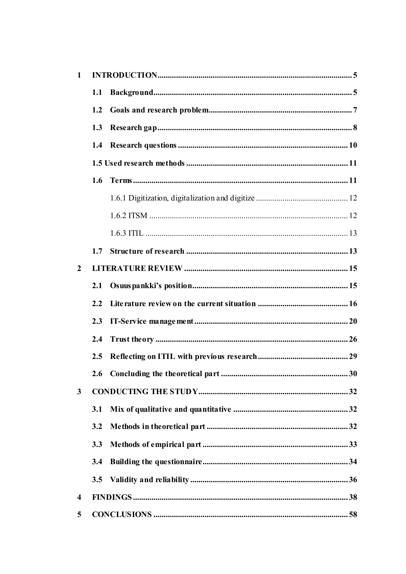| $\mathbf{1}$   |     |  |  |
|----------------|-----|--|--|
|                | 1.1 |  |  |
|                | 1.2 |  |  |
|                | 1.3 |  |  |
|                |     |  |  |
|                |     |  |  |
|                | 1.6 |  |  |
|                |     |  |  |
|                |     |  |  |
|                |     |  |  |
|                | 1.7 |  |  |
| $\overline{2}$ |     |  |  |
|                | 2.1 |  |  |
|                | 2.2 |  |  |
|                | 2.3 |  |  |
|                | 2.4 |  |  |
|                | 2.5 |  |  |
|                | 2.6 |  |  |
| 3              |     |  |  |
|                | 3.1 |  |  |
|                | 3.2 |  |  |
|                | 3.3 |  |  |
|                | 3.4 |  |  |
|                | 3.5 |  |  |
| 4              |     |  |  |
| 5              |     |  |  |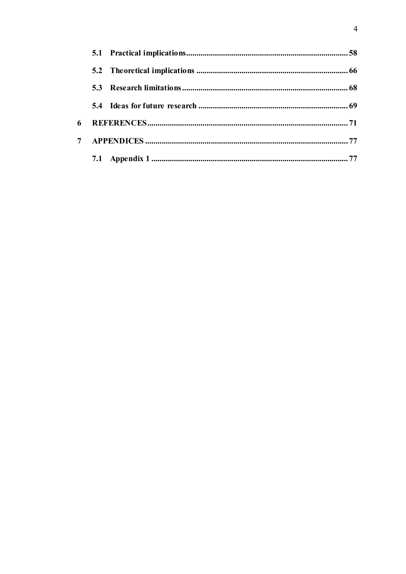| 6 |  |  |
|---|--|--|
| 7 |  |  |
|   |  |  |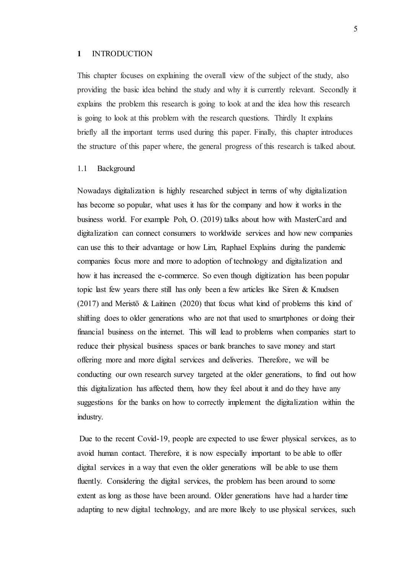#### <span id="page-4-0"></span>**1** INTRODUCTION

This chapter focuses on explaining the overall view of the subject of the study, also providing the basic idea behind the study and why it is currently relevant. Secondly it explains the problem this research is going to look at and the idea how this research is going to look at this problem with the research questions. Thirdly It explains briefly all the important terms used during this paper. Finally, this chapter introduces the structure of this paper where, the general progress of this research is talked about.

## <span id="page-4-1"></span>1.1 Background

Nowadays digitalization is highly researched subject in terms of why digitalization has become so popular, what uses it has for the company and how it works in the business world. For example Poh, O. (2019) talks about how with MasterCard and digitalization can connect consumers to worldwide services and how new companies can use this to their advantage or how [Lim, Raphael](https://www-proquest-com.pc124152.oulu.fi:9443/indexinglinkhandler/sng/au/Lim,+Raphael/$N?accountid=13031) Explains during the pandemic companies focus more and more to adoption of technology and digitalization and how it has increased the e-commerce. So even though digitization has been popular topic last few years there still has only been a few articles like Siren & Knudsen (2017) and Meristö & Laitinen (2020) that focus what kind of problems this kind of shifting does to older generations who are not that used to smartphones or doing their financial business on the internet. This will lead to problems when companies start to reduce their physical business spaces or bank branches to save money and start offering more and more digital services and deliveries. Therefore, we will be conducting our own research survey targeted at the older generations, to find out how this digitalization has affected them, how they feel about it and do they have any suggestions for the banks on how to correctly implement the digitalization within the industry.

Due to the recent Covid-19, people are expected to use fewer physical services, as to avoid human contact. Therefore, it is now especially important to be able to offer digital services in a way that even the older generations will be able to use them fluently. Considering the digital services, the problem has been around to some extent as long as those have been around. Older generations have had a harder time adapting to new digital technology, and are more likely to use physical services, such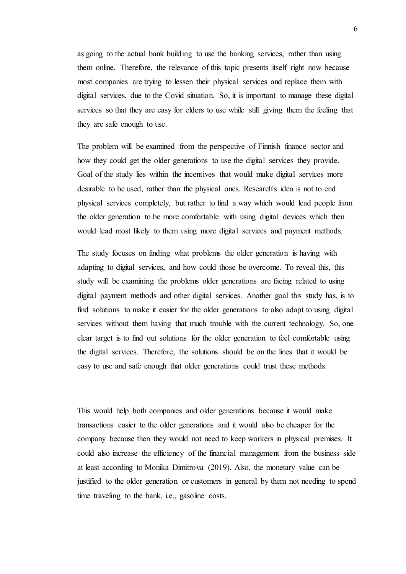as going to the actual bank building to use the banking services, rather than using them online. Therefore, the relevance of this topic presents itself right now because most companies are trying to lessen their physical services and replace them with digital services, due to the Covid situation. So, it is important to manage these digital services so that they are easy for elders to use while still giving them the feeling that they are safe enough to use.

The problem will be examined from the perspective of Finnish finance sector and how they could get the older generations to use the digital services they provide. Goal of the study lies within the incentives that would make digital services more desirable to be used, rather than the physical ones. Research's idea is not to end physical services completely, but rather to find a way which would lead people from the older generation to be more comfortable with using digital devices which then would lead most likely to them using more digital services and payment methods.

The study focuses on finding what problems the older generation is having with adapting to digital services, and how could those be overcome. To reveal this, this study will be examining the problems older generations are facing related to using digital payment methods and other digital services. Another goal this study has, is to find solutions to make it easier for the older generations to also adapt to using digital services without them having that much trouble with the current technology. So, one clear target is to find out solutions for the older generation to feel comfortable using the digital services. Therefore, the solutions should be on the lines that it would be easy to use and safe enough that older generations could trust these methods.

This would help both companies and older generations because it would make transactions easier to the older generations and it would also be cheaper for the company because then they would not need to keep workers in physical premises. It could also increase the efficiency of the financial management from the business side at least according to Monika Dimitrova (2019). Also, the monetary value can be justified to the older generation or customers in general by them not needing to spend time traveling to the bank, i.e., gasoline costs.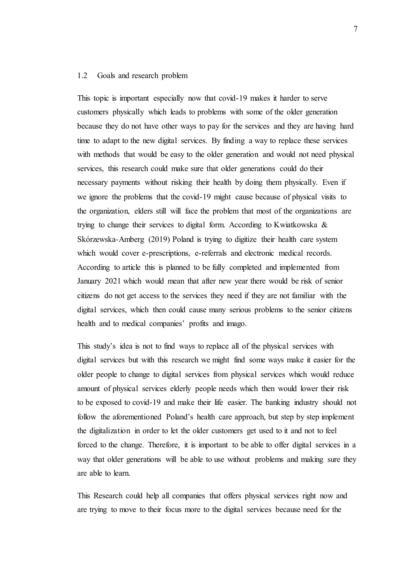#### <span id="page-6-0"></span>1.2 Goals and research problem

This topic is important especially now that covid-19 makes it harder to serve customers physically which leads to problems with some of the older generation because they do not have other ways to pay for the services and they are having hard time to adapt to the new digital services. By finding a way to replace these services with methods that would be easy to the older generation and would not need physical services, this research could make sure that older generations could do their necessary payments without risking their health by doing them physically. Even if we ignore the problems that the covid-19 might cause because of physical visits to the organization, elders still will face the problem that most of the organizations are trying to change their services to digital form. According to Kwiatkowska & Skórzewska-Amberg (2019) Poland is trying to digitize their health care system which would cover e-prescriptions, e-referrals and electronic medical records. According to article this is planned to be fully completed and implemented from January 2021 which would mean that after new year there would be risk of senior citizens do not get access to the services they need if they are not familiar with the digital services, which then could cause many serious problems to the senior citizens health and to medical companies' profits and imago.

This study's idea is not to find ways to replace all of the physical services with digital services but with this research we might find some ways make it easier for the older people to change to digital services from physical services which would reduce amount of physical services elderly people needs which then would lower their risk to be exposed to covid-19 and make their life easier. The banking industry should not follow the aforementioned Poland's health care approach, but step by step implement the digitalization in order to let the older customers get used to it and not to feel forced to the change. Therefore, it is important to be able to offer digital services in a way that older generations will be able to use without problems and making sure they are able to learn.

This Research could help all companies that offers physical services right now and are trying to move to their focus more to the digital services because need for the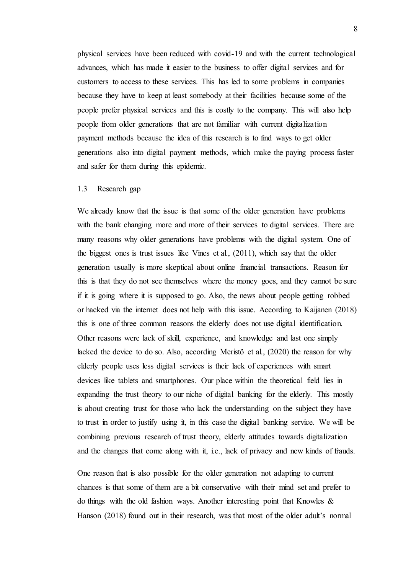physical services have been reduced with covid-19 and with the current technological advances, which has made it easier to the business to offer digital services and for customers to access to these services. This has led to some problems in companies because they have to keep at least somebody at their facilities because some of the people prefer physical services and this is costly to the company. This will also help people from older generations that are not familiar with current digitalization payment methods because the idea of this research is to find ways to get older generations also into digital payment methods, which make the paying process faster and safer for them during this epidemic.

#### <span id="page-7-0"></span>1.3 Research gap

We already know that the issue is that some of the older generation have problems with the bank changing more and more of their services to digital services. There are many reasons why older generations have problems with the digital system. One of the biggest ones is trust issues like Vines et al., (2011), which say that the older generation usually is more skeptical about online financial transactions. Reason for this is that they do not see themselves where the money goes, and they cannot be sure if it is going where it is supposed to go. Also, the news about people getting robbed or hacked via the internet does not help with this issue. According to Kaijanen (2018) this is one of three common reasons the elderly does not use digital identification. Other reasons were lack of skill, experience, and knowledge and last one simply lacked the device to do so. Also, according Meristö et al., (2020) the reason for why elderly people uses less digital services is their lack of experiences with smart devices like tablets and smartphones. Our place within the theoretical field lies in expanding the trust theory to our niche of digital banking for the elderly. This mostly is about creating trust for those who lack the understanding on the subject they have to trust in order to justify using it, in this case the digital banking service. We will be combining previous research of trust theory, elderly attitudes towards digitalization and the changes that come along with it, i.e., lack of privacy and new kinds of frauds.

One reason that is also possible for the older generation not adapting to current chances is that some of them are a bit conservative with their mind set and prefer to do things with the old fashion ways. Another interesting point that Knowles & Hanson (2018) found out in their research, was that most of the older adult's normal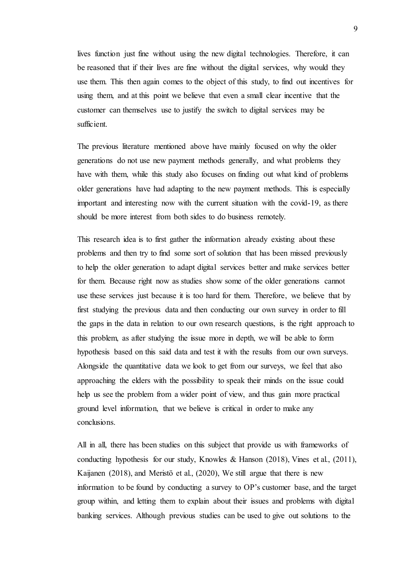lives function just fine without using the new digital technologies. Therefore, it can be reasoned that if their lives are fine without the digital services, why would they use them. This then again comes to the object of this study, to find out incentives for using them, and at this point we believe that even a small clear incentive that the customer can themselves use to justify the switch to digital services may be sufficient.

The previous literature mentioned above have mainly focused on why the older generations do not use new payment methods generally, and what problems they have with them, while this study also focuses on finding out what kind of problems older generations have had adapting to the new payment methods. This is especially important and interesting now with the current situation with the covid-19, as there should be more interest from both sides to do business remotely.

This research idea is to first gather the information already existing about these problems and then try to find some sort of solution that has been missed previously to help the older generation to adapt digital services better and make services better for them. Because right now as studies show some of the older generations cannot use these services just because it is too hard for them. Therefore, we believe that by first studying the previous data and then conducting our own survey in order to fill the gaps in the data in relation to our own research questions, is the right approach to this problem, as after studying the issue more in depth, we will be able to form hypothesis based on this said data and test it with the results from our own surveys. Alongside the quantitative data we look to get from our surveys, we feel that also approaching the elders with the possibility to speak their minds on the issue could help us see the problem from a wider point of view, and thus gain more practical ground level information, that we believe is critical in order to make any conclusions.

All in all, there has been studies on this subject that provide us with frameworks of conducting hypothesis for our study, Knowles & Hanson  $(2018)$ , Vines et al.,  $(2011)$ , Kaijanen (2018), and Meristö et al., (2020), We still argue that there is new information to be found by conducting a survey to OP's customer base, and the target group within, and letting them to explain about their issues and problems with digital banking services. Although previous studies can be used to give out solutions to the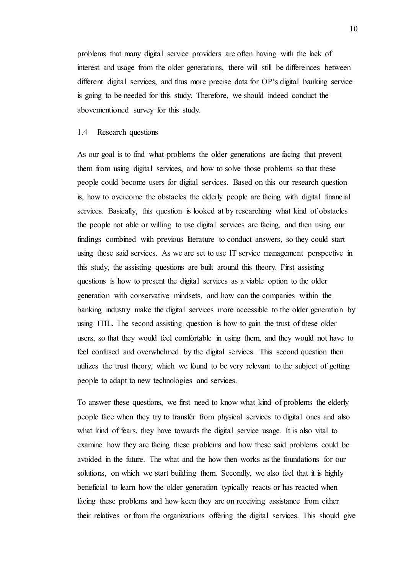problems that many digital service providers are often having with the lack of interest and usage from the older generations, there will still be differences between different digital services, and thus more precise data for OP's digital banking service is going to be needed for this study. Therefore, we should indeed conduct the abovementioned survey for this study.

#### <span id="page-9-0"></span>1.4 Research questions

As our goal is to find what problems the older generations are facing that prevent them from using digital services, and how to solve those problems so that these people could become users for digital services. Based on this our research question is, how to overcome the obstacles the elderly people are facing with digital financial services. Basically, this question is looked at by researching what kind of obstacles the people not able or willing to use digital services are facing, and then using our findings combined with previous literature to conduct answers, so they could start using these said services. As we are set to use IT service management perspective in this study, the assisting questions are built around this theory. First assisting questions is how to present the digital services as a viable option to the older generation with conservative mindsets, and how can the companies within the banking industry make the digital services more accessible to the older generation by using ITIL. The second assisting question is how to gain the trust of these older users, so that they would feel comfortable in using them, and they would not have to feel confused and overwhelmed by the digital services. This second question then utilizes the trust theory, which we found to be very relevant to the subject of getting people to adapt to new technologies and services.

To answer these questions, we first need to know what kind of problems the elderly people face when they try to transfer from physical services to digital ones and also what kind of fears, they have towards the digital service usage. It is also vital to examine how they are facing these problems and how these said problems could be avoided in the future. The what and the how then works as the foundations for our solutions, on which we start building them. Secondly, we also feel that it is highly beneficial to learn how the older generation typically reacts or has reacted when facing these problems and how keen they are on receiving assistance from either their relatives or from the organizations offering the digital services. This should give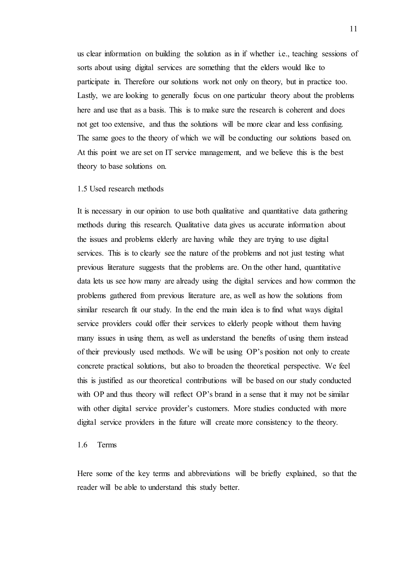us clear information on building the solution as in if whether i.e., teaching sessions of sorts about using digital services are something that the elders would like to participate in. Therefore our solutions work not only on theory, but in practice too. Lastly, we are looking to generally focus on one particular theory about the problems here and use that as a basis. This is to make sure the research is coherent and does not get too extensive, and thus the solutions will be more clear and less confusing. The same goes to the theory of which we will be conducting our solutions based on. At this point we are set on IT service management, and we believe this is the best theory to base solutions on.

#### <span id="page-10-0"></span>1.5 Used research methods

It is necessary in our opinion to use both qualitative and quantitative data gathering methods during this research. Qualitative data gives us accurate information about the issues and problems elderly are having while they are trying to use digital services. This is to clearly see the nature of the problems and not just testing what previous literature suggests that the problems are. On the other hand, quantitative data lets us see how many are already using the digital services and how common the problems gathered from previous literature are, as well as how the solutions from similar research fit our study. In the end the main idea is to find what ways digital service providers could offer their services to elderly people without them having many issues in using them, as well as understand the benefits of using them instead of their previously used methods. We will be using OP's position not only to create concrete practical solutions, but also to broaden the theoretical perspective. We feel this is justified as our theoretical contributions will be based on our study conducted with OP and thus theory will reflect OP's brand in a sense that it may not be similar with other digital service provider's customers. More studies conducted with more digital service providers in the future will create more consistency to the theory.

## <span id="page-10-1"></span>1.6 Terms

Here some of the key terms and abbreviations will be briefly explained, so that the reader will be able to understand this study better.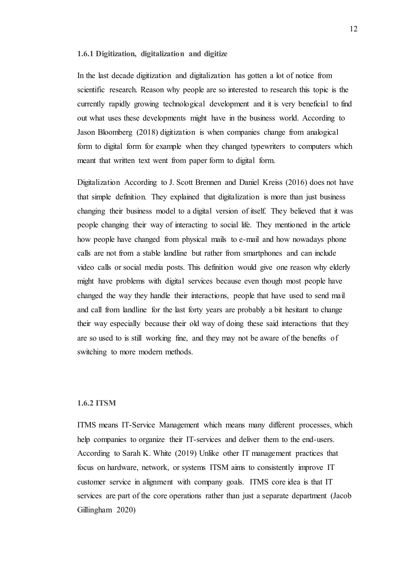#### <span id="page-11-0"></span>**1.6.1 Digitization, digitalization and digitize**

In the last decade digitization and digitalization has gotten a lot of notice from scientific research. Reason why people are so interested to research this topic is the currently rapidly growing technological development and it is very beneficial to find out what uses these developments might have in the business world. According to Jason Bloomberg (2018) digitization is when companies change from analogical form to digital form for example when they changed typewriters to computers which meant that written text went from paper form to digital form.

Digitalization According to J. Scott Brennen and Daniel Kreiss (2016) does not have that simple definition. They explained that digitalization is more than just business changing their business model to a digital version of itself. They believed that it was people changing their way of interacting to social life. They mentioned in the article how people have changed from physical mails to e-mail and how nowadays phone calls are not from a stable landline but rather from smartphones and can include video calls or social media posts. This definition would give one reason why elderly might have problems with digital services because even though most people have changed the way they handle their interactions, people that have used to send mail and call from landline for the last forty years are probably a bit hesitant to change their way especially because their old way of doing these said interactions that they are so used to is still working fine, and they may not be aware of the benefits of switching to more modern methods.

#### <span id="page-11-1"></span>**1.6.2 ITSM**

ITMS means IT-Service Management which means many different processes, which help companies to organize their IT-services and deliver them to the end-users. According to Sarah K. White (2019) Unlike other IT management practices that focus on hardware, network, or systems ITSM aims to consistently improve IT customer service in alignment with company goals. ITMS core idea is that IT services are part of the core operations rather than just a separate department (Jacob Gillingham 2020)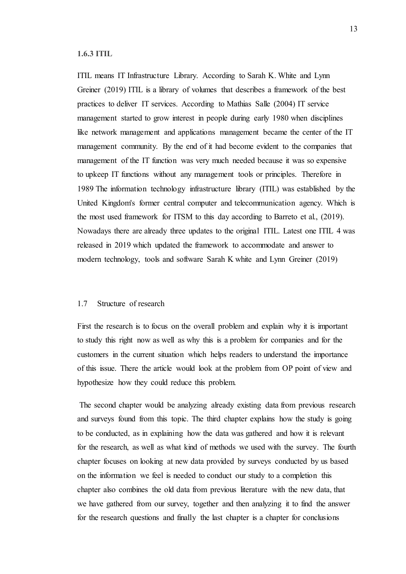<span id="page-12-0"></span>**1.6.3 ITIL**

ITIL means IT Infrastructure Library. According to Sarah K. White and Lynn Greiner (2019) ITIL is a library of volumes that describes a framework of the best practices to deliver IT services. According to Mathias Salle (2004) IT service management started to grow interest in people during early 1980 when disciplines like network management and applications management became the center of the IT management community. By the end of it had become evident to the companies that management of the IT function was very much needed because it was so expensive to upkeep IT functions without any management tools or principles. Therefore in 1989 The information technology infrastructure library (ITIL) was established by the United Kingdom's former central computer and telecommunication agency. Which is the most used framework for ITSM to this day according to Barreto et al., (2019). Nowadays there are already three updates to the original ITIL. Latest one ITIL 4 was released in 2019 which updated the framework to accommodate and answer to modern technology, tools and software Sarah K white and Lynn Greiner (2019)

## <span id="page-12-1"></span>1.7 Structure of research

First the research is to focus on the overall problem and explain why it is important to study this right now as well as why this is a problem for companies and for the customers in the current situation which helps readers to understand the importance of this issue. There the article would look at the problem from OP point of view and hypothesize how they could reduce this problem.

The second chapter would be analyzing already existing data from previous research and surveys found from this topic. The third chapter explains how the study is going to be conducted, as in explaining how the data was gathered and how it is relevant for the research, as well as what kind of methods we used with the survey. The fourth chapter focuses on looking at new data provided by surveys conducted by us based on the information we feel is needed to conduct our study to a completion this chapter also combines the old data from previous literature with the new data, that we have gathered from our survey, together and then analyzing it to find the answer for the research questions and finally the last chapter is a chapter for conclusions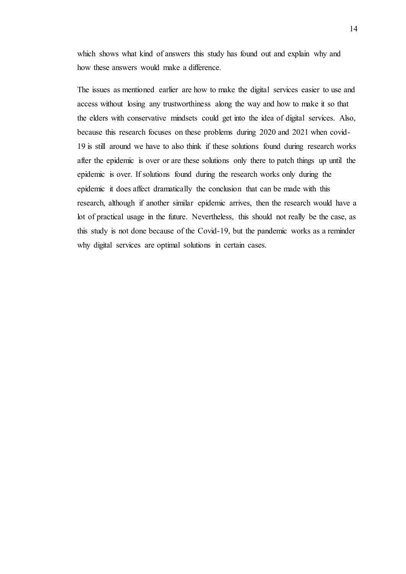which shows what kind of answers this study has found out and explain why and how these answers would make a difference.

The issues as mentioned earlier are how to make the digital services easier to use and access without losing any trustworthiness along the way and how to make it so that the elders with conservative mindsets could get into the idea of digital services. Also, because this research focuses on these problems during 2020 and 2021 when covid-19 is still around we have to also think if these solutions found during research works after the epidemic is over or are these solutions only there to patch things up until the epidemic is over. If solutions found during the research works only during the epidemic it does affect dramatically the conclusion that can be made with this research, although if another similar epidemic arrives, then the research would have a lot of practical usage in the future. Nevertheless, this should not really be the case, as this study is not done because of the Covid-19, but the pandemic works as a reminder why digital services are optimal solutions in certain cases.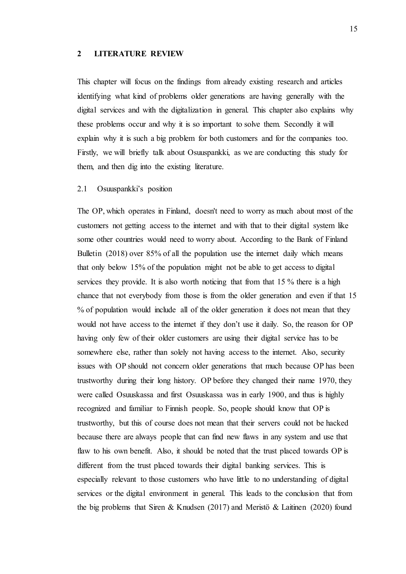#### <span id="page-14-0"></span>**2 LITERATURE REVIEW**

This chapter will focus on the findings from already existing research and articles identifying what kind of problems older generations are having generally with the digital services and with the digitalization in general. This chapter also explains why these problems occur and why it is so important to solve them. Secondly it will explain why it is such a big problem for both customers and for the companies too. Firstly, we will briefly talk about Osuuspankki, as we are conducting this study for them, and then dig into the existing literature.

# <span id="page-14-1"></span>2.1 Osuuspankki's position

The OP, which operates in Finland, doesn't need to worry as much about most of the customers not getting access to the internet and with that to their digital system like some other countries would need to worry about. According to the Bank of Finland Bulletin (2018) over 85% of all the population use the internet daily which means that only below 15% of the population might not be able to get access to digital services they provide. It is also worth noticing that from that 15 % there is a high chance that not everybody from those is from the older generation and even if that 15 % of population would include all of the older generation it does not mean that they would not have access to the internet if they don't use it daily. So, the reason for OP having only few of their older customers are using their digital service has to be somewhere else, rather than solely not having access to the internet. Also, security issues with OP should not concern older generations that much because OP has been trustworthy during their long history. OP before they changed their name 1970, they were called Osuuskassa and first Osuuskassa was in early 1900, and thus is highly recognized and familiar to Finnish people. So, people should know that OP is trustworthy, but this of course does not mean that their servers could not be hacked because there are always people that can find new flaws in any system and use that flaw to his own benefit. Also, it should be noted that the trust placed towards OP is different from the trust placed towards their digital banking services. This is especially relevant to those customers who have little to no understanding of digital services or the digital environment in general. This leads to the conclusion that from the big problems that Siren & Knudsen (2017) and Meristö & Laitinen (2020) found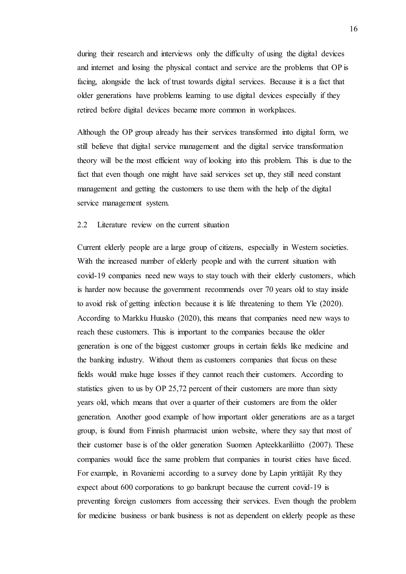during their research and interviews only the difficulty of using the digital devices and internet and losing the physical contact and service are the problems that OP is facing, alongside the lack of trust towards digital services. Because it is a fact that older generations have problems learning to use digital devices especially if they retired before digital devices became more common in workplaces.

Although the OP group already has their services transformed into digital form, we still believe that digital service management and the digital service transformation theory will be the most efficient way of looking into this problem. This is due to the fact that even though one might have said services set up, they still need constant management and getting the customers to use them with the help of the digital service management system.

## <span id="page-15-0"></span>2.2 Literature review on the current situation

Current elderly people are a large group of citizens, especially in Western societies. With the increased number of elderly people and with the current situation with covid-19 companies need new ways to stay touch with their elderly customers, which is harder now because the government recommends over 70 years old to stay inside to avoid risk of getting infection because it is life threatening to them Yle (2020). According to Markku Huusko (2020), this means that companies need new ways to reach these customers. This is important to the companies because the older generation is one of the biggest customer groups in certain fields like medicine and the banking industry. Without them as customers companies that focus on these fields would make huge losses if they cannot reach their customers. According to statistics given to us by OP 25,72 percent of their customers are more than sixty years old, which means that over a quarter of their customers are from the older generation. Another good example of how important older generations are as a target group, is found from Finnish pharmacist union website, where they say that most of their customer base is of the older generation Suomen Apteekkariliitto (2007). These companies would face the same problem that companies in tourist cities have faced. For example, in Rovaniemi according to a survey done by Lapin yrittäjät Ry they expect about 600 corporations to go bankrupt because the current covid-19 is preventing foreign customers from accessing their services. Even though the problem for medicine business or bank business is not as dependent on elderly people as these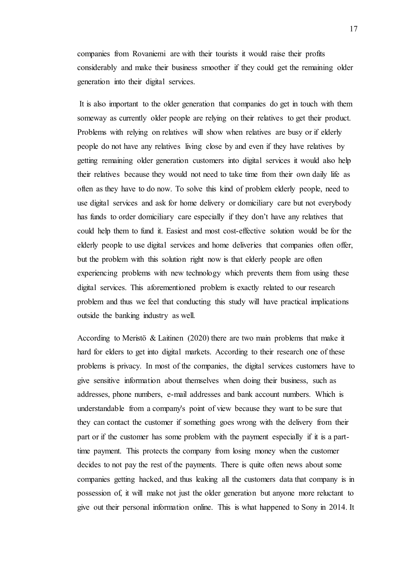companies from Rovaniemi are with their tourists it would raise their profits considerably and make their business smoother if they could get the remaining older generation into their digital services.

It is also important to the older generation that companies do get in touch with them someway as currently older people are relying on their relatives to get their product. Problems with relying on relatives will show when relatives are busy or if elderly people do not have any relatives living close by and even if they have relatives by getting remaining older generation customers into digital services it would also help their relatives because they would not need to take time from their own daily life as often as they have to do now. To solve this kind of problem elderly people, need to use digital services and ask for home delivery or domiciliary care but not everybody has funds to order domiciliary care especially if they don't have any relatives that could help them to fund it. Easiest and most cost-effective solution would be for the elderly people to use digital services and home deliveries that companies often offer, but the problem with this solution right now is that elderly people are often experiencing problems with new technology which prevents them from using these digital services. This aforementioned problem is exactly related to our research problem and thus we feel that conducting this study will have practical implications outside the banking industry as well.

According to Meristö & Laitinen (2020) there are two main problems that make it hard for elders to get into digital markets. According to their research one of these problems is privacy. In most of the companies, the digital services customers have to give sensitive information about themselves when doing their business, such as addresses, phone numbers, e-mail addresses and bank account numbers. Which is understandable from a company's point of view because they want to be sure that they can contact the customer if something goes wrong with the delivery from their part or if the customer has some problem with the payment especially if it is a parttime payment. This protects the company from losing money when the customer decides to not pay the rest of the payments. There is quite often news about some companies getting hacked, and thus leaking all the customers data that company is in possession of, it will make not just the older generation but anyone more reluctant to give out their personal information online. This is what happened to Sony in 2014. It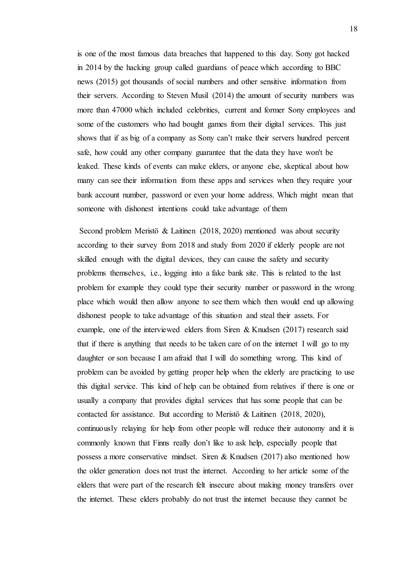is one of the most famous data breaches that happened to this day. Sony got hacked in 2014 by the hacking group called guardians of peace which according to BBC news (2015) got thousands of social numbers and other sensitive information from their servers. According to Steven Musil (2014) the amount of security numbers was more than 47000 which included celebrities, current and former Sony employees and some of the customers who had bought games from their digital services. This just shows that if as big of a company as Sony can't make their servers hundred percent safe, how could any other company guarantee that the data they have won't be leaked. These kinds of events can make elders, or anyone else, skeptical about how many can see their information from these apps and services when they require your bank account number, password or even your home address. Which might mean that someone with dishonest intentions could take advantage of them

Second problem Meristö & Laitinen (2018, 2020) mentioned was about security according to their survey from 2018 and study from 2020 if elderly people are not skilled enough with the digital devices, they can cause the safety and security problems themselves, i.e., logging into a fake bank site. This is related to the last problem for example they could type their security number or password in the wrong place which would then allow anyone to see them which then would end up allowing dishonest people to take advantage of this situation and steal their assets. For example, one of the interviewed elders from Siren & Knudsen (2017) research said that if there is anything that needs to be taken care of on the internet I will go to my daughter or son because I am afraid that I will do something wrong. This kind of problem can be avoided by getting proper help when the elderly are practicing to use this digital service. This kind of help can be obtained from relatives if there is one or usually a company that provides digital services that has some people that can be contacted for assistance. But according to Meristö & Laitinen (2018, 2020), continuously relaying for help from other people will reduce their autonomy and it is commonly known that Finns really don't like to ask help, especially people that possess a more conservative mindset. Siren & Knudsen (2017) also mentioned how the older generation does not trust the internet. According to her article some of the elders that were part of the research felt insecure about making money transfers over the internet. These elders probably do not trust the internet because they cannot be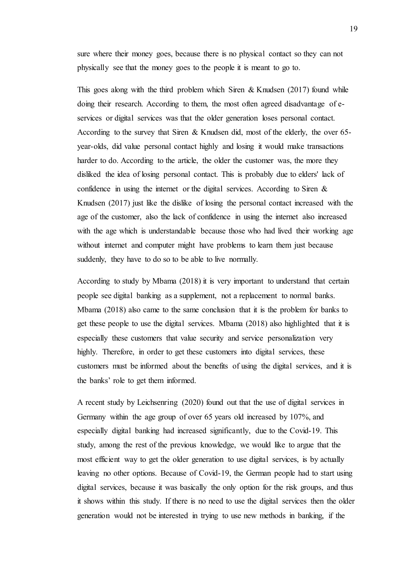sure where their money goes, because there is no physical contact so they can not physically see that the money goes to the people it is meant to go to.

This goes along with the third problem which Siren & Knudsen  $(2017)$  found while doing their research. According to them, the most often agreed disadvantage of eservices or digital services was that the older generation loses personal contact. According to the survey that Siren & Knudsen did, most of the elderly, the over  $65$ year-olds, did value personal contact highly and losing it would make transactions harder to do. According to the article, the older the customer was, the more they disliked the idea of losing personal contact. This is probably due to elders' lack of confidence in using the internet or the digital services. According to Siren & Knudsen (2017) just like the dislike of losing the personal contact increased with the age of the customer, also the lack of confidence in using the internet also increased with the age which is understandable because those who had lived their working age without internet and computer might have problems to learn them just because suddenly, they have to do so to be able to live normally.

According to study by Mbama (2018) it is very important to understand that certain people see digital banking as a supplement, not a replacement to normal banks. Mbama (2018) also came to the same conclusion that it is the problem for banks to get these people to use the digital services. Mbama (2018) also highlighted that it is especially these customers that value security and service personalization very highly. Therefore, in order to get these customers into digital services, these customers must be informed about the benefits of using the digital services, and it is the banks' role to get them informed.

A recent study by Leichsenring (2020) found out that the use of digital services in Germany within the age group of over 65 years old increased by 107%, and especially digital banking had increased significantly, due to the Covid-19. This study, among the rest of the previous knowledge, we would like to argue that the most efficient way to get the older generation to use digital services, is by actually leaving no other options. Because of Covid-19, the German people had to start using digital services, because it was basically the only option for the risk groups, and thus it shows within this study. If there is no need to use the digital services then the older generation would not be interested in trying to use new methods in banking, if the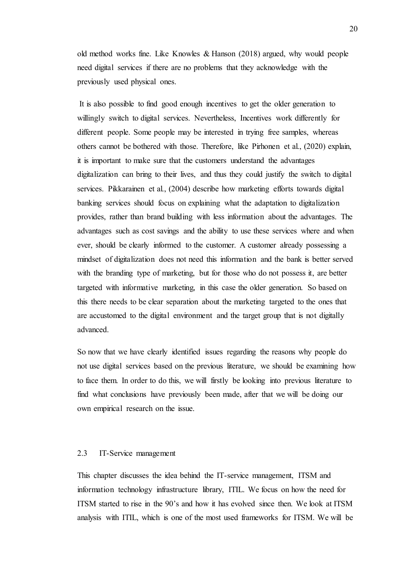old method works fine. Like Knowles & Hanson (2018) argued, why would people need digital services if there are no problems that they acknowledge with the previously used physical ones.

It is also possible to find good enough incentives to get the older generation to willingly switch to digital services. Nevertheless, Incentives work differently for different people. Some people may be interested in trying free samples, whereas others cannot be bothered with those. Therefore, like Pirhonen et al., (2020) explain, it is important to make sure that the customers understand the advantages digitalization can bring to their lives, and thus they could justify the switch to digital services. Pikkarainen et al., (2004) describe how marketing efforts towards digital banking services should focus on explaining what the adaptation to digitalization provides, rather than brand building with less information about the advantages. The advantages such as cost savings and the ability to use these services where and when ever, should be clearly informed to the customer. A customer already possessing a mindset of digitalization does not need this information and the bank is better served with the branding type of marketing, but for those who do not possess it, are better targeted with informative marketing, in this case the older generation. So based on this there needs to be clear separation about the marketing targeted to the ones that are accustomed to the digital environment and the target group that is not digitally advanced.

So now that we have clearly identified issues regarding the reasons why people do not use digital services based on the previous literature, we should be examining how to face them. In order to do this, we will firstly be looking into previous literature to find what conclusions have previously been made, after that we will be doing our own empirical research on the issue.

# <span id="page-19-0"></span>2.3 IT-Service management

This chapter discusses the idea behind the IT-service management, ITSM and information technology infrastructure library, ITIL. We focus on how the need for ITSM started to rise in the 90's and how it has evolved since then. We look at ITSM analysis with ITIL, which is one of the most used frameworks for ITSM. We will be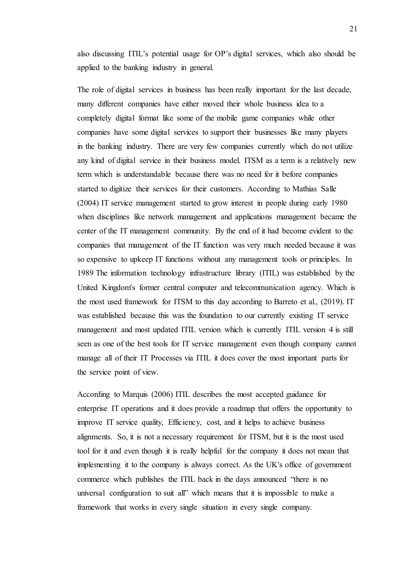also discussing ITIL's potential usage for OP's digital services, which also should be applied to the banking industry in general.

The role of digital services in business has been really important for the last decade, many different companies have either moved their whole business idea to a completely digital format like some of the mobile game companies while other companies have some digital services to support their businesses like many players in the banking industry. There are very few companies currently which do not utilize any kind of digital service in their business model. ITSM as a term is a relatively new term which is understandable because there was no need for it before companies started to digitize their services for their customers. According to Mathias Salle (2004) IT service management started to grow interest in people during early 1980 when disciplines like network management and applications management became the center of the IT management community. By the end of it had become evident to the companies that management of the IT function was very much needed because it was so expensive to upkeep IT functions without any management tools or principles. In 1989 The information technology infrastructure library (ITIL) was established by the United Kingdom's former central computer and telecommunication agency. Which is the most used framework for ITSM to this day according to Barreto et al., (2019). IT was established because this was the foundation to our currently existing IT service management and most updated ITIL version which is currently ITIL version 4 is still seen as one of the best tools for IT service management even though company cannot manage all of their IT Processes via ITIL it does cover the most important parts for the service point of view.

According to Marquis (2006) ITIL describes the most accepted guidance for enterprise IT operations and it does provide a roadmap that offers the opportunity to improve IT service quality, Efficiency, cost, and it helps to achieve business alignments. So, it is not a necessary requirement for ITSM, but it is the most used tool for it and even though it is really helpful for the company it does not mean that implementing it to the company is always correct. As the UK's office of government commerce which publishes the ITIL back in the days announced "there is no universal configuration to suit all" which means that it is impossible to make a framework that works in every single situation in every single company.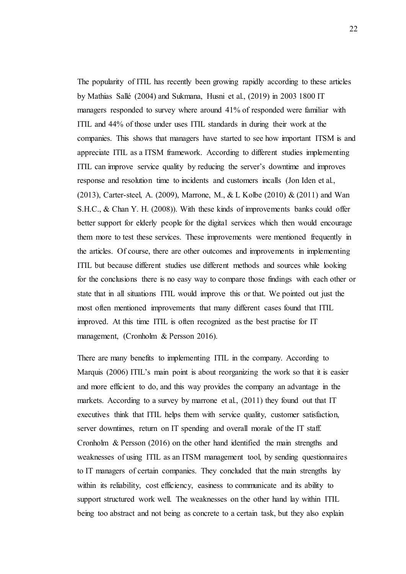The popularity of ITIL has recently been growing rapidly according to these articles by Mathias Sallé (2004) and Sukmana, Husni et al., (2019) in 2003 1800 IT managers responded to survey where around 41% of responded were familiar with ITIL and 44% of those under uses ITIL standards in during their work at the companies. This shows that managers have started to see how important ITSM is and appreciate ITIL as a ITSM framework. According to different studies implementing ITIL can improve service quality by reducing the server's downtime and improves response and resolution time to incidents and customers incalls (Jon Iden et al., (2013), Carter-steel, A. (2009), Marrone, M., & L Kolbe (2010) & (2011) and Wan S.H.C., & Chan Y. H. (2008)). With these kinds of improvements banks could offer better support for elderly people for the digital services which then would encourage them more to test these services. These improvements were mentioned frequently in the articles. Of course, there are other outcomes and improvements in implementing ITIL but because different studies use different methods and sources while looking for the conclusions there is no easy way to compare those findings with each other or state that in all situations ITIL would improve this or that. We pointed out just the most often mentioned improvements that many different cases found that ITIL improved. At this time ITIL is often recognized as the best practise for IT management, (Cronholm & Persson 2016).

There are many benefits to implementing ITIL in the company. According to Marquis (2006) ITIL's main point is about reorganizing the work so that it is easier and more efficient to do, and this way provides the company an advantage in the markets. According to a survey by marrone et al., (2011) they found out that IT executives think that ITIL helps them with service quality, customer satisfaction, server downtimes, return on IT spending and overall morale of the IT staff. Cronholm & Persson (2016) on the other hand identified the main strengths and weaknesses of using ITIL as an ITSM management tool, by sending questionnaires to IT managers of certain companies. They concluded that the main strengths lay within its reliability, cost efficiency, easiness to communicate and its ability to support structured work well. The weaknesses on the other hand lay within ITIL being too abstract and not being as concrete to a certain task, but they also explain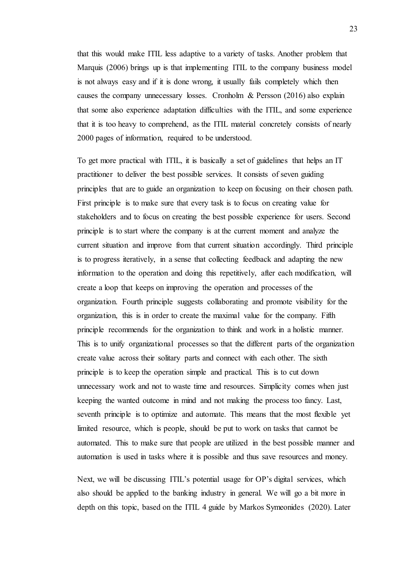that this would make ITIL less adaptive to a variety of tasks. Another problem that Marquis (2006) brings up is that implementing ITIL to the company business model is not always easy and if it is done wrong, it usually fails completely which then causes the company unnecessary losses. Cronholm & Persson (2016) also explain that some also experience adaptation difficulties with the ITIL, and some experience that it is too heavy to comprehend, as the ITIL material concretely consists of nearly 2000 pages of information, required to be understood.

To get more practical with ITIL, it is basically a set of guidelines that helps an IT practitioner to deliver the best possible services. It consists of seven guiding principles that are to guide an organization to keep on focusing on their chosen path. First principle is to make sure that every task is to focus on creating value for stakeholders and to focus on creating the best possible experience for users. Second principle is to start where the company is at the current moment and analyze the current situation and improve from that current situation accordingly. Third principle is to progress iteratively, in a sense that collecting feedback and adapting the new information to the operation and doing this repetitively, after each modification, will create a loop that keeps on improving the operation and processes of the organization. Fourth principle suggests collaborating and promote visibility for the organization, this is in order to create the maximal value for the company. Fifth principle recommends for the organization to think and work in a holistic manner. This is to unify organizational processes so that the different parts of the organization create value across their solitary parts and connect with each other. The sixth principle is to keep the operation simple and practical. This is to cut down unnecessary work and not to waste time and resources. Simplicity comes when just keeping the wanted outcome in mind and not making the process too fancy. Last, seventh principle is to optimize and automate. This means that the most flexible yet limited resource, which is people, should be put to work on tasks that cannot be automated. This to make sure that people are utilized in the best possible manner and automation is used in tasks where it is possible and thus save resources and money.

Next, we will be discussing ITIL's potential usage for OP's digital services, which also should be applied to the banking industry in general. We will go a bit more in depth on this topic, based on the ITIL 4 guide by Markos Symeonides (2020). Later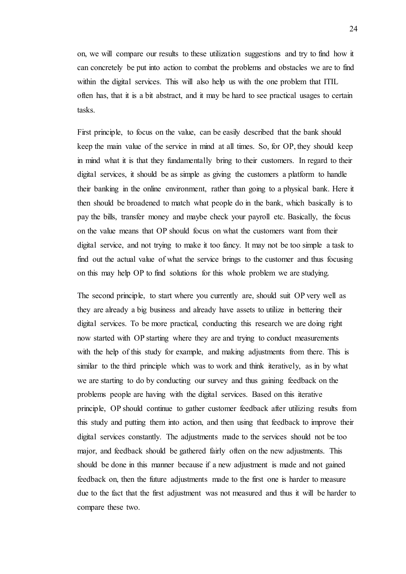on, we will compare our results to these utilization suggestions and try to find how it can concretely be put into action to combat the problems and obstacles we are to find within the digital services. This will also help us with the one problem that ITIL often has, that it is a bit abstract, and it may be hard to see practical usages to certain tasks.

First principle, to focus on the value, can be easily described that the bank should keep the main value of the service in mind at all times. So, for OP, they should keep in mind what it is that they fundamentally bring to their customers. In regard to their digital services, it should be as simple as giving the customers a platform to handle their banking in the online environment, rather than going to a physical bank. Here it then should be broadened to match what people do in the bank, which basically is to pay the bills, transfer money and maybe check your payroll etc. Basically, the focus on the value means that OP should focus on what the customers want from their digital service, and not trying to make it too fancy. It may not be too simple a task to find out the actual value of what the service brings to the customer and thus focusing on this may help OP to find solutions for this whole problem we are studying.

The second principle, to start where you currently are, should suit OP very well as they are already a big business and already have assets to utilize in bettering their digital services. To be more practical, conducting this research we are doing right now started with OP starting where they are and trying to conduct measurements with the help of this study for example, and making adjustments from there. This is similar to the third principle which was to work and think iteratively, as in by what we are starting to do by conducting our survey and thus gaining feedback on the problems people are having with the digital services. Based on this iterative principle, OP should continue to gather customer feedback after utilizing results from this study and putting them into action, and then using that feedback to improve their digital services constantly. The adjustments made to the services should not be too major, and feedback should be gathered fairly often on the new adjustments. This should be done in this manner because if a new adjustment is made and not gained feedback on, then the future adjustments made to the first one is harder to measure due to the fact that the first adjustment was not measured and thus it will be harder to compare these two.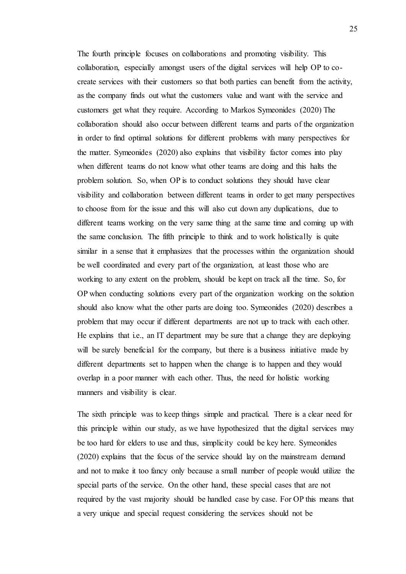The fourth principle focuses on collaborations and promoting visibility. This collaboration, especially amongst users of the digital services will help OP to cocreate services with their customers so that both parties can benefit from the activity, as the company finds out what the customers value and want with the service and customers get what they require. According to Markos Symeonides (2020) The collaboration should also occur between different teams and parts of the organization in order to find optimal solutions for different problems with many perspectives for the matter. Symeonides (2020) also explains that visibility factor comes into play when different teams do not know what other teams are doing and this halts the problem solution. So, when OP is to conduct solutions they should have clear visibility and collaboration between different teams in order to get many perspectives to choose from for the issue and this will also cut down any duplications, due to different teams working on the very same thing at the same time and coming up with the same conclusion. The fifth principle to think and to work holistically is quite similar in a sense that it emphasizes that the processes within the organization should be well coordinated and every part of the organization, at least those who are working to any extent on the problem, should be kept on track all the time. So, for OP when conducting solutions every part of the organization working on the solution should also know what the other parts are doing too. Symeonides (2020) describes a problem that may occur if different departments are not up to track with each other. He explains that i.e., an IT department may be sure that a change they are deploying will be surely beneficial for the company, but there is a business initiative made by different departments set to happen when the change is to happen and they would overlap in a poor manner with each other. Thus, the need for holistic working manners and visibility is clear.

The sixth principle was to keep things simple and practical. There is a clear need for this principle within our study, as we have hypothesized that the digital services may be too hard for elders to use and thus, simplicity could be key here. Symeonides (2020) explains that the focus of the service should lay on the mainstream demand and not to make it too fancy only because a small number of people would utilize the special parts of the service. On the other hand, these special cases that are not required by the vast majority should be handled case by case. For OP this means that a very unique and special request considering the services should not be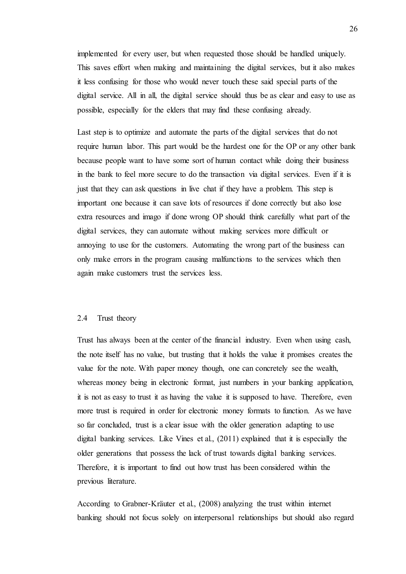implemented for every user, but when requested those should be handled uniquely. This saves effort when making and maintaining the digital services, but it also makes it less confusing for those who would never touch these said special parts of the digital service. All in all, the digital service should thus be as clear and easy to use as possible, especially for the elders that may find these confusing already.

Last step is to optimize and automate the parts of the digital services that do not require human labor. This part would be the hardest one for the OP or any other bank because people want to have some sort of human contact while doing their business in the bank to feel more secure to do the transaction via digital services. Even if it is just that they can ask questions in live chat if they have a problem. This step is important one because it can save lots of resources if done correctly but also lose extra resources and imago if done wrong OP should think carefully what part of the digital services, they can automate without making services more difficult or annoying to use for the customers. Automating the wrong part of the business can only make errors in the program causing malfunctions to the services which then again make customers trust the services less.

# <span id="page-25-0"></span>2.4 Trust theory

Trust has always been at the center of the financial industry. Even when using cash, the note itself has no value, but trusting that it holds the value it promises creates the value for the note. With paper money though, one can concretely see the wealth, whereas money being in electronic format, just numbers in your banking application, it is not as easy to trust it as having the value it is supposed to have. Therefore, even more trust is required in order for electronic money formats to function. As we have so far concluded, trust is a clear issue with the older generation adapting to use digital banking services. Like Vines et al., (2011) explained that it is especially the older generations that possess the lack of trust towards digital banking services. Therefore, it is important to find out how trust has been considered within the previous literature.

According to Grabner-Kräuter et al., (2008) analyzing the trust within internet banking should not focus solely on interpersonal relationships but should also regard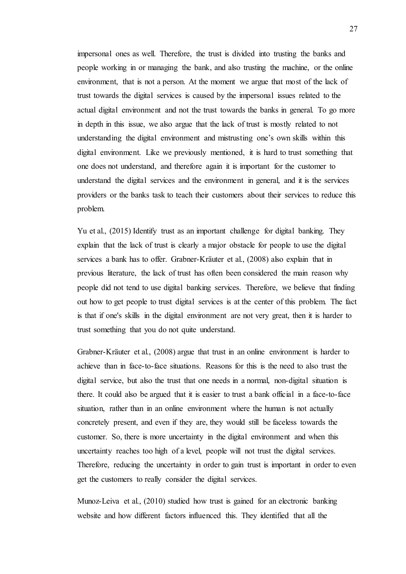impersonal ones as well. Therefore, the trust is divided into trusting the banks and people working in or managing the bank, and also trusting the machine, or the online environment, that is not a person. At the moment we argue that most of the lack of trust towards the digital services is caused by the impersonal issues related to the actual digital environment and not the trust towards the banks in general. To go more in depth in this issue, we also argue that the lack of trust is mostly related to not understanding the digital environment and mistrusting one's own skills within this digital environment. Like we previously mentioned, it is hard to trust something that one does not understand, and therefore again it is important for the customer to understand the digital services and the environment in general, and it is the services providers or the banks task to teach their customers about their services to reduce this problem.

Yu et al., (2015) Identify trust as an important challenge for digital banking. They explain that the lack of trust is clearly a major obstacle for people to use the digital services a bank has to offer. Grabner-Kräuter et al., (2008) also explain that in previous literature, the lack of trust has often been considered the main reason why people did not tend to use digital banking services. Therefore, we believe that finding out how to get people to trust digital services is at the center of this problem. The fact is that if one's skills in the digital environment are not very great, then it is harder to trust something that you do not quite understand.

Grabner-Kräuter et al., (2008) argue that trust in an online environment is harder to achieve than in face-to-face situations. Reasons for this is the need to also trust the digital service, but also the trust that one needs in a normal, non-digital situation is there. It could also be argued that it is easier to trust a bank official in a face-to-face situation, rather than in an online environment where the human is not actually concretely present, and even if they are, they would still be faceless towards the customer. So, there is more uncertainty in the digital environment and when this uncertainty reaches too high of a level, people will not trust the digital services. Therefore, reducing the uncertainty in order to gain trust is important in order to even get the customers to really consider the digital services.

Munoz-Leiva et al., (2010) studied how trust is gained for an electronic banking website and how different factors influenced this. They identified that all the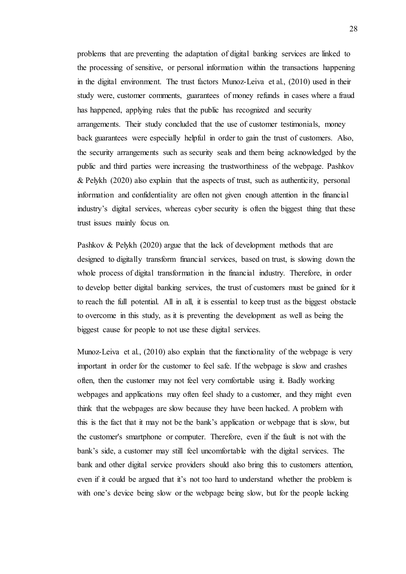problems that are preventing the adaptation of digital banking services are linked to the processing of sensitive, or personal information within the transactions happening in the digital environment. The trust factors Munoz-Leiva et al., (2010) used in their study were, customer comments, guarantees of money refunds in cases where a fraud has happened, applying rules that the public has recognized and security arrangements. Their study concluded that the use of customer testimonials, money back guarantees were especially helpful in order to gain the trust of customers. Also, the security arrangements such as security seals and them being acknowledged by the public and third parties were increasing the trustworthiness of the webpage. Pashkov & Pelykh (2020) also explain that the aspects of trust, such as authenticity, personal information and confidentiality are often not given enough attention in the financial industry's digital services, whereas cyber security is often the biggest thing that these trust issues mainly focus on.

Pashkov & Pelykh (2020) argue that the lack of development methods that are designed to digitally transform financial services, based on trust, is slowing down the whole process of digital transformation in the financial industry. Therefore, in order to develop better digital banking services, the trust of customers must be gained for it to reach the full potential. All in all, it is essential to keep trust as the biggest obstacle to overcome in this study, as it is preventing the development as well as being the biggest cause for people to not use these digital services.

Munoz-Leiva et al., (2010) also explain that the functionality of the webpage is very important in order for the customer to feel safe. If the webpage is slow and crashes often, then the customer may not feel very comfortable using it. Badly working webpages and applications may often feel shady to a customer, and they might even think that the webpages are slow because they have been hacked. A problem with this is the fact that it may not be the bank's application or webpage that is slow, but the customer's smartphone or computer. Therefore, even if the fault is not with the bank's side, a customer may still feel uncomfortable with the digital services. The bank and other digital service providers should also bring this to customers attention, even if it could be argued that it's not too hard to understand whether the problem is with one's device being slow or the webpage being slow, but for the people lacking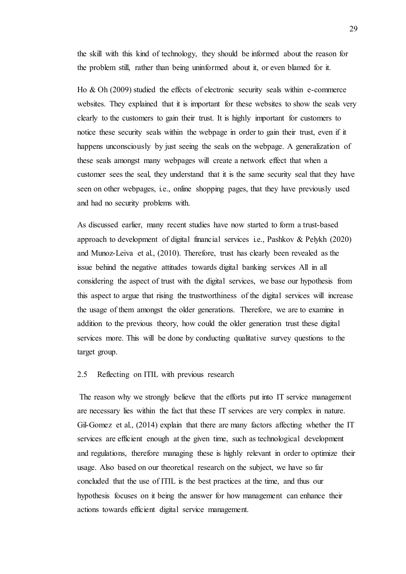the skill with this kind of technology, they should be informed about the reason for the problem still, rather than being uninformed about it, or even blamed for it.

Ho & Oh (2009) studied the effects of electronic security seals within e-commerce websites. They explained that it is important for these websites to show the seals very clearly to the customers to gain their trust. It is highly important for customers to notice these security seals within the webpage in order to gain their trust, even if it happens unconsciously by just seeing the seals on the webpage. A generalization of these seals amongst many webpages will create a network effect that when a customer sees the seal, they understand that it is the same security seal that they have seen on other webpages, i.e., online shopping pages, that they have previously used and had no security problems with.

As discussed earlier, many recent studies have now started to form a trust-based approach to development of digital financial services i.e., Pashkov & Pelykh (2020) and Munoz-Leiva et al., (2010). Therefore, trust has clearly been revealed as the issue behind the negative attitudes towards digital banking services All in all considering the aspect of trust with the digital services, we base our hypothesis from this aspect to argue that rising the trustworthiness of the digital services will increase the usage of them amongst the older generations. Therefore, we are to examine in addition to the previous theory, how could the older generation trust these digital services more. This will be done by conducting qualitative survey questions to the target group.

# <span id="page-28-0"></span>2.5 Reflecting on ITIL with previous research

The reason why we strongly believe that the efforts put into IT service management are necessary lies within the fact that these IT services are very complex in nature. Gil-Gomez et al., (2014) explain that there are many factors affecting whether the IT services are efficient enough at the given time, such as technological development and regulations, therefore managing these is highly relevant in order to optimize their usage. Also based on our theoretical research on the subject, we have so far concluded that the use of ITIL is the best practices at the time, and thus our hypothesis focuses on it being the answer for how management can enhance their actions towards efficient digital service management.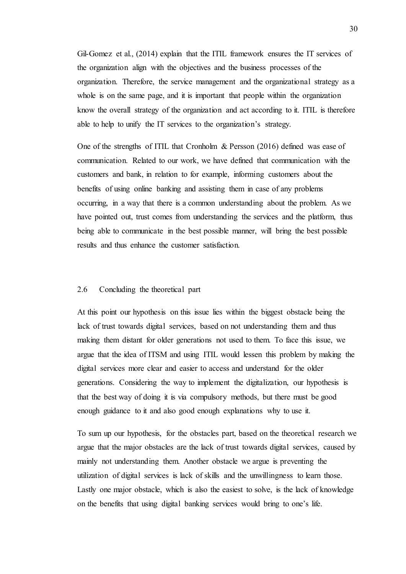Gil-Gomez et al., (2014) explain that the ITIL framework ensures the IT services of the organization align with the objectives and the business processes of the organization. Therefore, the service management and the organizational strategy as a whole is on the same page, and it is important that people within the organization know the overall strategy of the organization and act according to it. ITIL is therefore able to help to unify the IT services to the organization's strategy.

One of the strengths of ITIL that Cronholm & Persson (2016) defined was ease of communication. Related to our work, we have defined that communication with the customers and bank, in relation to for example, informing customers about the benefits of using online banking and assisting them in case of any problems occurring, in a way that there is a common understanding about the problem. As we have pointed out, trust comes from understanding the services and the platform, thus being able to communicate in the best possible manner, will bring the best possible results and thus enhance the customer satisfaction.

# <span id="page-29-0"></span>2.6 Concluding the theoretical part

At this point our hypothesis on this issue lies within the biggest obstacle being the lack of trust towards digital services, based on not understanding them and thus making them distant for older generations not used to them. To face this issue, we argue that the idea of ITSM and using ITIL would lessen this problem by making the digital services more clear and easier to access and understand for the older generations. Considering the way to implement the digitalization, our hypothesis is that the best way of doing it is via compulsory methods, but there must be good enough guidance to it and also good enough explanations why to use it.

To sum up our hypothesis, for the obstacles part, based on the theoretical research we argue that the major obstacles are the lack of trust towards digital services, caused by mainly not understanding them. Another obstacle we argue is preventing the utilization of digital services is lack of skills and the unwillingness to learn those. Lastly one major obstacle, which is also the easiest to solve, is the lack of knowledge on the benefits that using digital banking services would bring to one's life.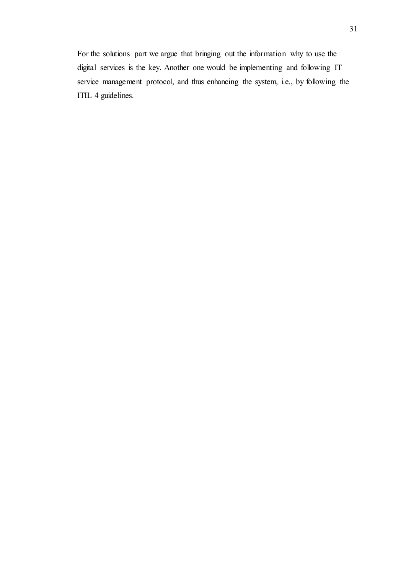For the solutions part we argue that bringing out the information why to use the digital services is the key. Another one would be implementing and following IT service management protocol, and thus enhancing the system, i.e., by following the ITIL 4 guidelines.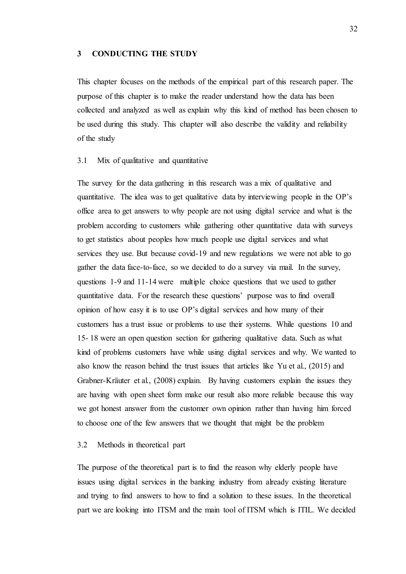#### <span id="page-31-0"></span>**3 CONDUCTING THE STUDY**

This chapter focuses on the methods of the empirical part of this research paper. The purpose of this chapter is to make the reader understand how the data has been collected and analyzed as well as explain why this kind of method has been chosen to be used during this study. This chapter will also describe the validity and reliability of the study

## <span id="page-31-1"></span>3.1 Mix of qualitative and quantitative

The survey for the data gathering in this research was a mix of qualitative and quantitative. The idea was to get qualitative data by interviewing people in the OP's office area to get answers to why people are not using digital service and what is the problem according to customers while gathering other quantitative data with surveys to get statistics about peoples how much people use digital services and what services they use. But because covid-19 and new regulations we were not able to go gather the data face-to-face, so we decided to do a survey via mail. In the survey, questions 1-9 and 11-14 were multiple choice questions that we used to gather quantitative data. For the research these questions' purpose was to find overall opinion of how easy it is to use OP's digital services and how many of their customers has a trust issue or problems to use their systems. While questions 10 and 15- 18 were an open question section for gathering qualitative data. Such as what kind of problems customers have while using digital services and why. We wanted to also know the reason behind the trust issues that articles like Yu et al., (2015) and Grabner-Kräuter et al., (2008) explain. By having customers explain the issues they are having with open sheet form make our result also more reliable because this way we got honest answer from the customer own opinion rather than having him forced to choose one of the few answers that we thought that might be the problem

# <span id="page-31-2"></span>3.2 Methods in theoretical part

The purpose of the theoretical part is to find the reason why elderly people have issues using digital services in the banking industry from already existing literature and trying to find answers to how to find a solution to these issues. In the theoretical part we are looking into ITSM and the main tool of ITSM which is ITIL. We decided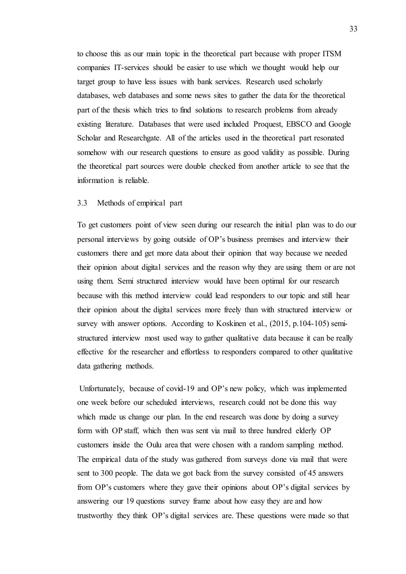to choose this as our main topic in the theoretical part because with proper ITSM companies IT-services should be easier to use which we thought would help our target group to have less issues with bank services. Research used scholarly databases, web databases and some news sites to gather the data for the theoretical part of the thesis which tries to find solutions to research problems from already existing literature. Databases that were used included Proquest, EBSCO and Google Scholar and Researchgate. All of the articles used in the theoretical part resonated somehow with our research questions to ensure as good validity as possible. During the theoretical part sources were double checked from another article to see that the information is reliable.

## <span id="page-32-0"></span>3.3 Methods of empirical part

To get customers point of view seen during our research the initial plan was to do our personal interviews by going outside of OP's business premises and interview their customers there and get more data about their opinion that way because we needed their opinion about digital services and the reason why they are using them or are not using them. Semi structured interview would have been optimal for our research because with this method interview could lead responders to our topic and still hear their opinion about the digital services more freely than with structured interview or survey with answer options. According to Koskinen et al.,  $(2015, p.104-105)$  semistructured interview most used way to gather qualitative data because it can be really effective for the researcher and effortless to responders compared to other qualitative data gathering methods.

Unfortunately, because of covid-19 and OP's new policy, which was implemented one week before our scheduled interviews, research could not be done this way which made us change our plan. In the end research was done by doing a survey form with OP staff, which then was sent via mail to three hundred elderly OP customers inside the Oulu area that were chosen with a random sampling method. The empirical data of the study was gathered from surveys done via mail that were sent to 300 people. The data we got back from the survey consisted of 45 answers from OP's customers where they gave their opinions about OP's digital services by answering our 19 questions survey frame about how easy they are and how trustworthy they think OP's digital services are. These questions were made so that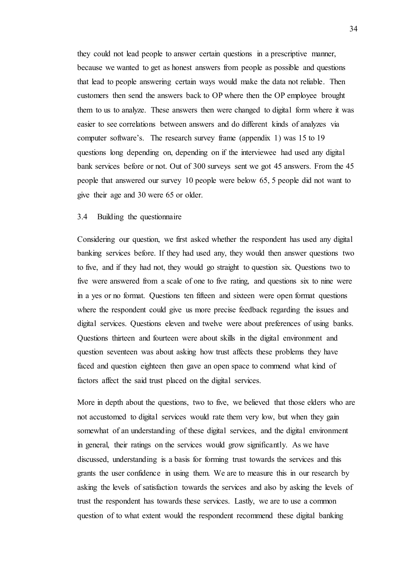they could not lead people to answer certain questions in a prescriptive manner, because we wanted to get as honest answers from people as possible and questions that lead to people answering certain ways would make the data not reliable. Then customers then send the answers back to OP where then the OP employee brought them to us to analyze. These answers then were changed to digital form where it was easier to see correlations between answers and do different kinds of analyzes via computer software's. The research survey frame (appendix 1) was 15 to 19 questions long depending on, depending on if the interviewee had used any digital bank services before or not. Out of 300 surveys sent we got 45 answers. From the 45 people that answered our survey 10 people were below 65, 5 people did not want to give their age and 30 were 65 or older.

# <span id="page-33-0"></span>3.4 Building the questionnaire

Considering our question, we first asked whether the respondent has used any digital banking services before. If they had used any, they would then answer questions two to five, and if they had not, they would go straight to question six. Questions two to five were answered from a scale of one to five rating, and questions six to nine were in a yes or no format. Questions ten fifteen and sixteen were open format questions where the respondent could give us more precise feedback regarding the issues and digital services. Questions eleven and twelve were about preferences of using banks. Questions thirteen and fourteen were about skills in the digital environment and question seventeen was about asking how trust affects these problems they have faced and question eighteen then gave an open space to commend what kind of factors affect the said trust placed on the digital services.

More in depth about the questions, two to five, we believed that those elders who are not accustomed to digital services would rate them very low, but when they gain somewhat of an understanding of these digital services, and the digital environment in general, their ratings on the services would grow significantly. As we have discussed, understanding is a basis for forming trust towards the services and this grants the user confidence in using them. We are to measure this in our research by asking the levels of satisfaction towards the services and also by asking the levels of trust the respondent has towards these services. Lastly, we are to use a common question of to what extent would the respondent recommend these digital banking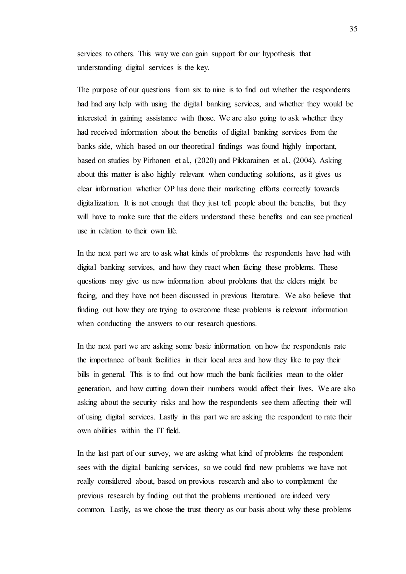services to others. This way we can gain support for our hypothesis that understanding digital services is the key.

The purpose of our questions from six to nine is to find out whether the respondents had had any help with using the digital banking services, and whether they would be interested in gaining assistance with those. We are also going to ask whether they had received information about the benefits of digital banking services from the banks side, which based on our theoretical findings was found highly important, based on studies by Pirhonen et al., (2020) and Pikkarainen et al., (2004). Asking about this matter is also highly relevant when conducting solutions, as it gives us clear information whether OP has done their marketing efforts correctly towards digitalization. It is not enough that they just tell people about the benefits, but they will have to make sure that the elders understand these benefits and can see practical use in relation to their own life.

In the next part we are to ask what kinds of problems the respondents have had with digital banking services, and how they react when facing these problems. These questions may give us new information about problems that the elders might be facing, and they have not been discussed in previous literature. We also believe that finding out how they are trying to overcome these problems is relevant information when conducting the answers to our research questions.

In the next part we are asking some basic information on how the respondents rate the importance of bank facilities in their local area and how they like to pay their bills in general. This is to find out how much the bank facilities mean to the older generation, and how cutting down their numbers would affect their lives. We are also asking about the security risks and how the respondents see them affecting their will of using digital services. Lastly in this part we are asking the respondent to rate their own abilities within the IT field.

In the last part of our survey, we are asking what kind of problems the respondent sees with the digital banking services, so we could find new problems we have not really considered about, based on previous research and also to complement the previous research by finding out that the problems mentioned are indeed very common. Lastly, as we chose the trust theory as our basis about why these problems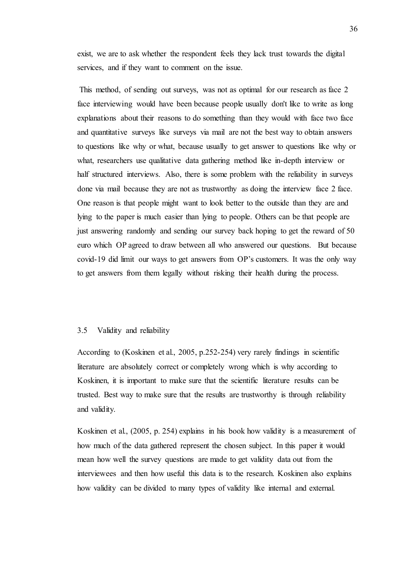exist, we are to ask whether the respondent feels they lack trust towards the digital services, and if they want to comment on the issue.

This method, of sending out surveys, was not as optimal for our research as face 2 face interviewing would have been because people usually don't like to write as long explanations about their reasons to do something than they would with face two face and quantitative surveys like surveys via mail are not the best way to obtain answers to questions like why or what, because usually to get answer to questions like why or what, researchers use qualitative data gathering method like in-depth interview or half structured interviews. Also, there is some problem with the reliability in surveys done via mail because they are not as trustworthy as doing the interview face 2 face. One reason is that people might want to look better to the outside than they are and lying to the paper is much easier than lying to people. Others can be that people are just answering randomly and sending our survey back hoping to get the reward of 50 euro which OP agreed to draw between all who answered our questions. But because covid-19 did limit our ways to get answers from OP's customers. It was the only way to get answers from them legally without risking their health during the process.

#### <span id="page-35-0"></span>3.5 Validity and reliability

According to (Koskinen et al., 2005, p.252-254) very rarely findings in scientific literature are absolutely correct or completely wrong which is why according to Koskinen, it is important to make sure that the scientific literature results can be trusted. Best way to make sure that the results are trustworthy is through reliability and validity.

Koskinen et al., (2005, p. 254) explains in his book how validity is a measurement of how much of the data gathered represent the chosen subject. In this paper it would mean how well the survey questions are made to get validity data out from the interviewees and then how useful this data is to the research. Koskinen also explains how validity can be divided to many types of validity like internal and external.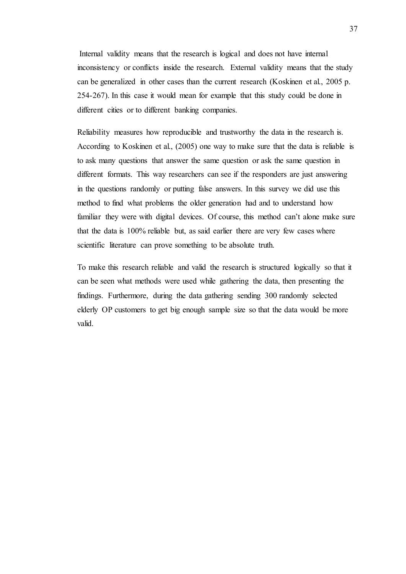Internal validity means that the research is logical and does not have internal inconsistency or conflicts inside the research. External validity means that the study can be generalized in other cases than the current research (Koskinen et al., 2005 p. 254-267). In this case it would mean for example that this study could be done in different cities or to different banking companies.

Reliability measures how reproducible and trustworthy the data in the research is. According to Koskinen et al., (2005) one way to make sure that the data is reliable is to ask many questions that answer the same question or ask the same question in different formats. This way researchers can see if the responders are just answering in the questions randomly or putting false answers. In this survey we did use this method to find what problems the older generation had and to understand how familiar they were with digital devices. Of course, this method can't alone make sure that the data is 100% reliable but, as said earlier there are very few cases where scientific literature can prove something to be absolute truth.

To make this research reliable and valid the research is structured logically so that it can be seen what methods were used while gathering the data, then presenting the findings. Furthermore, during the data gathering sending 300 randomly selected elderly OP customers to get big enough sample size so that the data would be more valid.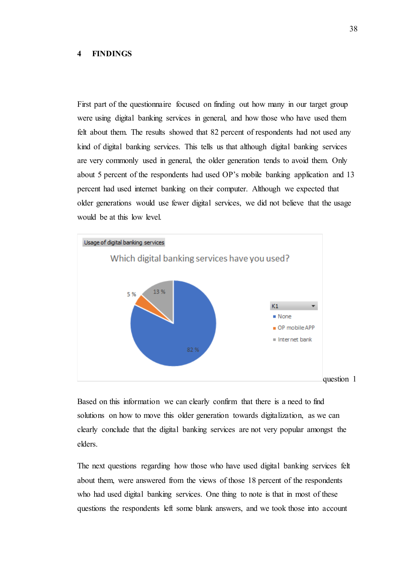#### **4 FINDINGS**

First part of the questionnaire focused on finding out how many in our target group were using digital banking services in general, and how those who have used them felt about them. The results showed that 82 percent of respondents had not used any kind of digital banking services. This tells us that although digital banking services are very commonly used in general, the older generation tends to avoid them. Only about 5 percent of the respondents had used OP's mobile banking application and 13 percent had used internet banking on their computer. Although we expected that older generations would use fewer digital services, we did not believe that the usage would be at this low level.



Based on this information we can clearly confirm that there is a need to find solutions on how to move this older generation towards digitalization, as we can clearly conclude that the digital banking services are not very popular amongst the elders.

The next questions regarding how those who have used digital banking services felt about them, were answered from the views of those 18 percent of the respondents who had used digital banking services. One thing to note is that in most of these questions the respondents left some blank answers, and we took those into account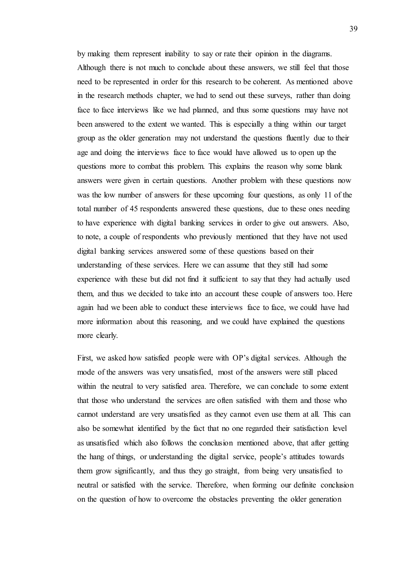by making them represent inability to say or rate their opinion in the diagrams. Although there is not much to conclude about these answers, we still feel that those need to be represented in order for this research to be coherent. As mentioned above in the research methods chapter, we had to send out these surveys, rather than doing face to face interviews like we had planned, and thus some questions may have not been answered to the extent we wanted. This is especially a thing within our target group as the older generation may not understand the questions fluently due to their age and doing the interviews face to face would have allowed us to open up the questions more to combat this problem. This explains the reason why some blank answers were given in certain questions. Another problem with these questions now was the low number of answers for these upcoming four questions, as only 11 of the total number of 45 respondents answered these questions, due to these ones needing to have experience with digital banking services in order to give out answers. Also, to note, a couple of respondents who previously mentioned that they have not used digital banking services answered some of these questions based on their understanding of these services. Here we can assume that they still had some experience with these but did not find it sufficient to say that they had actually used them, and thus we decided to take into an account these couple of answers too. Here again had we been able to conduct these interviews face to face, we could have had more information about this reasoning, and we could have explained the questions more clearly.

First, we asked how satisfied people were with OP's digital services. Although the mode of the answers was very unsatisfied, most of the answers were still placed within the neutral to very satisfied area. Therefore, we can conclude to some extent that those who understand the services are often satisfied with them and those who cannot understand are very unsatisfied as they cannot even use them at all. This can also be somewhat identified by the fact that no one regarded their satisfaction level as unsatisfied which also follows the conclusion mentioned above, that after getting the hang of things, or understanding the digital service, people's attitudes towards them grow significantly, and thus they go straight, from being very unsatisfied to neutral or satisfied with the service. Therefore, when forming our definite conclusion on the question of how to overcome the obstacles preventing the older generation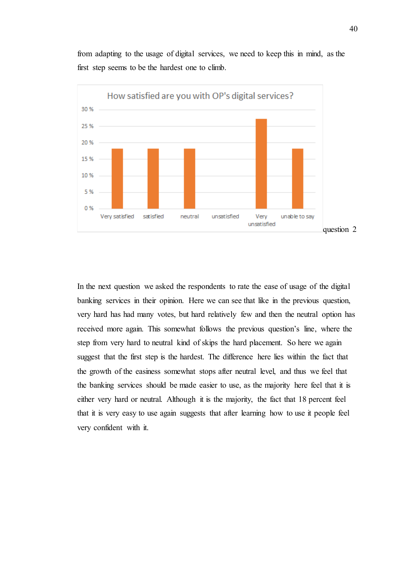from adapting to the usage of digital services, we need to keep this in mind, as the first step seems to be the hardest one to climb.



In the next question we asked the respondents to rate the ease of usage of the digital banking services in their opinion. Here we can see that like in the previous question, very hard has had many votes, but hard relatively few and then the neutral option has received more again. This somewhat follows the previous question's line, where the step from very hard to neutral kind of skips the hard placement. So here we again suggest that the first step is the hardest. The difference here lies within the fact that the growth of the easiness somewhat stops after neutral level, and thus we feel that the banking services should be made easier to use, as the majority here feel that it is either very hard or neutral. Although it is the majority, the fact that 18 percent feel that it is very easy to use again suggests that after learning how to use it people feel very confident with it.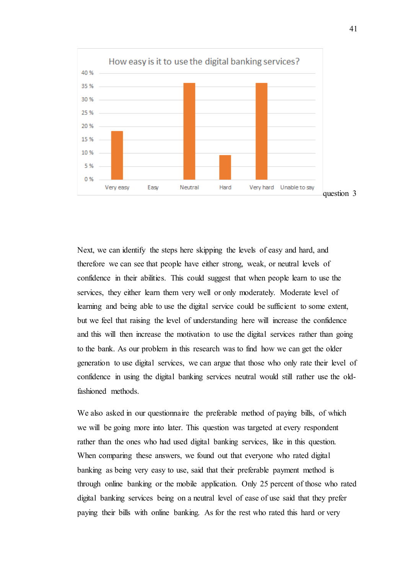

Next, we can identify the steps here skipping the levels of easy and hard, and therefore we can see that people have either strong, weak, or neutral levels of confidence in their abilities. This could suggest that when people learn to use the services, they either learn them very well or only moderately. Moderate level of learning and being able to use the digital service could be sufficient to some extent, but we feel that raising the level of understanding here will increase the confidence and this will then increase the motivation to use the digital services rather than going to the bank. As our problem in this research was to find how we can get the older generation to use digital services, we can argue that those who only rate their level of confidence in using the digital banking services neutral would still rather use the oldfashioned methods.

We also asked in our questionnaire the preferable method of paying bills, of which we will be going more into later. This question was targeted at every respondent rather than the ones who had used digital banking services, like in this question. When comparing these answers, we found out that everyone who rated digital banking as being very easy to use, said that their preferable payment method is through online banking or the mobile application. Only 25 percent of those who rated digital banking services being on a neutral level of ease of use said that they prefer paying their bills with online banking. As for the rest who rated this hard or very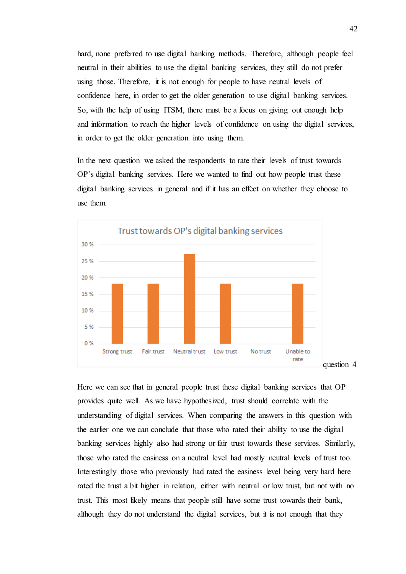hard, none preferred to use digital banking methods. Therefore, although people feel neutral in their abilities to use the digital banking services, they still do not prefer using those. Therefore, it is not enough for people to have neutral levels of confidence here, in order to get the older generation to use digital banking services. So, with the help of using ITSM, there must be a focus on giving out enough help and information to reach the higher levels of confidence on using the digital services, in order to get the older generation into using them.

In the next question we asked the respondents to rate their levels of trust towards OP's digital banking services. Here we wanted to find out how people trust these digital banking services in general and if it has an effect on whether they choose to use them.



Here we can see that in general people trust these digital banking services that OP provides quite well. As we have hypothesized, trust should correlate with the understanding of digital services. When comparing the answers in this question with the earlier one we can conclude that those who rated their ability to use the digital banking services highly also had strong or fair trust towards these services. Similarly, those who rated the easiness on a neutral level had mostly neutral levels of trust too. Interestingly those who previously had rated the easiness level being very hard here rated the trust a bit higher in relation, either with neutral or low trust, but not with no trust. This most likely means that people still have some trust towards their bank, although they do not understand the digital services, but it is not enough that they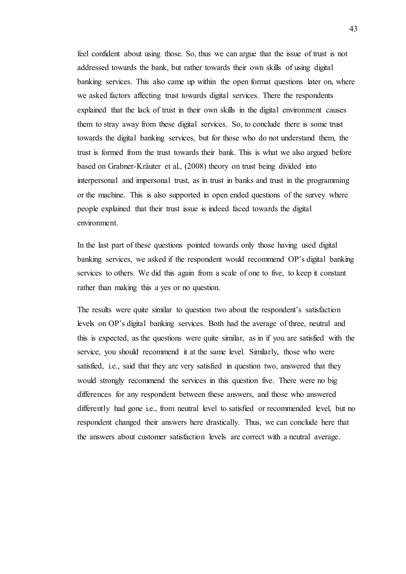feel confident about using those. So, thus we can argue that the issue of trust is not addressed towards the bank, but rather towards their own skills of using digital banking services. This also came up within the open format questions later on, where we asked factors affecting trust towards digital services. There the respondents explained that the lack of trust in their own skills in the digital environment causes them to stray away from these digital services. So, to conclude there is some trust towards the digital banking services, but for those who do not understand them, the trust is formed from the trust towards their bank. This is what we also argued before based on Grabner-Kräuter et al., (2008) theory on trust being divided into interpersonal and impersonal trust, as in trust in banks and trust in the programming or the machine. This is also supported in open ended questions of the survey where people explained that their trust issue is indeed faced towards the digital environment.

In the last part of these questions pointed towards only those having used digital banking services, we asked if the respondent would recommend OP's digital banking services to others. We did this again from a scale of one to five, to keep it constant rather than making this a yes or no question.

The results were quite similar to question two about the respondent's satisfaction levels on OP's digital banking services. Both had the average of three, neutral and this is expected, as the questions were quite similar, as in if you are satisfied with the service, you should recommend it at the same level. Similarly, those who were satisfied, i.e., said that they are very satisfied in question two, answered that they would strongly recommend the services in this question five. There were no big differences for any respondent between these answers, and those who answered differently had gone i.e., from neutral level to satisfied or recommended level, but no respondent changed their answers here drastically. Thus, we can conclude here that the answers about customer satisfaction levels are correct with a neutral average.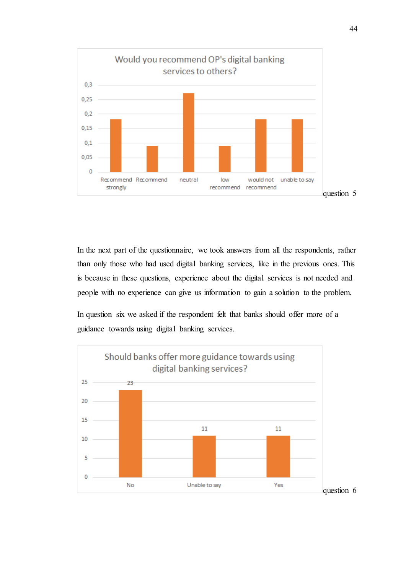

In the next part of the questionnaire, we took answers from all the respondents, rather than only those who had used digital banking services, like in the previous ones. This is because in these questions, experience about the digital services is not needed and people with no experience can give us information to gain a solution to the problem.

In question six we asked if the respondent felt that banks should offer more of a guidance towards using digital banking services.

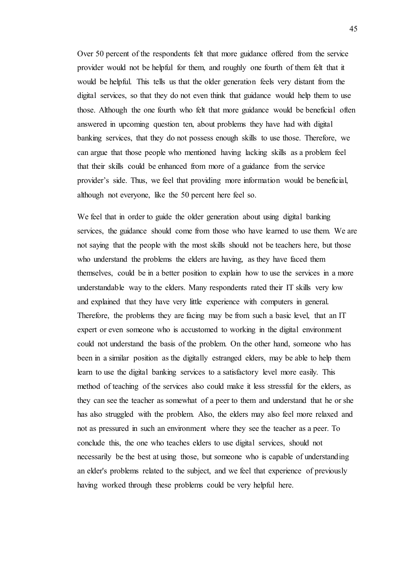Over 50 percent of the respondents felt that more guidance offered from the service provider would not be helpful for them, and roughly one fourth of them felt that it would be helpful. This tells us that the older generation feels very distant from the digital services, so that they do not even think that guidance would help them to use those. Although the one fourth who felt that more guidance would be beneficial often answered in upcoming question ten, about problems they have had with digital banking services, that they do not possess enough skills to use those. Therefore, we can argue that those people who mentioned having lacking skills as a problem feel that their skills could be enhanced from more of a guidance from the service provider's side. Thus, we feel that providing more information would be beneficial, although not everyone, like the 50 percent here feel so.

We feel that in order to guide the older generation about using digital banking services, the guidance should come from those who have learned to use them. We are not saying that the people with the most skills should not be teachers here, but those who understand the problems the elders are having, as they have faced them themselves, could be in a better position to explain how to use the services in a more understandable way to the elders. Many respondents rated their IT skills very low and explained that they have very little experience with computers in general. Therefore, the problems they are facing may be from such a basic level, that an IT expert or even someone who is accustomed to working in the digital environment could not understand the basis of the problem. On the other hand, someone who has been in a similar position as the digitally estranged elders, may be able to help them learn to use the digital banking services to a satisfactory level more easily. This method of teaching of the services also could make it less stressful for the elders, as they can see the teacher as somewhat of a peer to them and understand that he or she has also struggled with the problem. Also, the elders may also feel more relaxed and not as pressured in such an environment where they see the teacher as a peer. To conclude this, the one who teaches elders to use digital services, should not necessarily be the best at using those, but someone who is capable of understanding an elder's problems related to the subject, and we feel that experience of previously having worked through these problems could be very helpful here.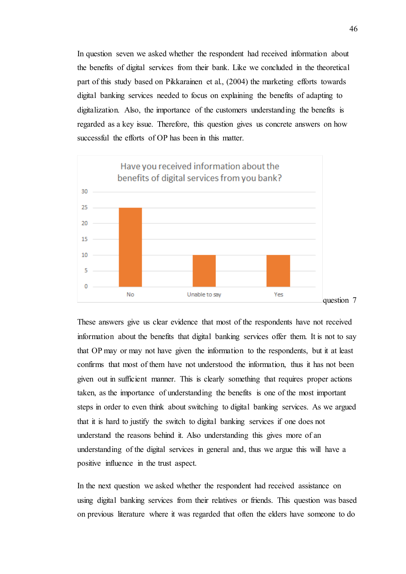In question seven we asked whether the respondent had received information about the benefits of digital services from their bank. Like we concluded in the theoretical part of this study based on Pikkarainen et al., (2004) the marketing efforts towards digital banking services needed to focus on explaining the benefits of adapting to digitalization. Also, the importance of the customers understanding the benefits is regarded as a key issue. Therefore, this question gives us concrete answers on how successful the efforts of OP has been in this matter.



These answers give us clear evidence that most of the respondents have not received information about the benefits that digital banking services offer them. It is not to say that OP may or may not have given the information to the respondents, but it at least confirms that most of them have not understood the information, thus it has not been given out in sufficient manner. This is clearly something that requires proper actions taken, as the importance of understanding the benefits is one of the most important steps in order to even think about switching to digital banking services. As we argued that it is hard to justify the switch to digital banking services if one does not understand the reasons behind it. Also understanding this gives more of an understanding of the digital services in general and, thus we argue this will have a positive influence in the trust aspect.

In the next question we asked whether the respondent had received assistance on using digital banking services from their relatives or friends. This question was based on previous literature where it was regarded that often the elders have someone to do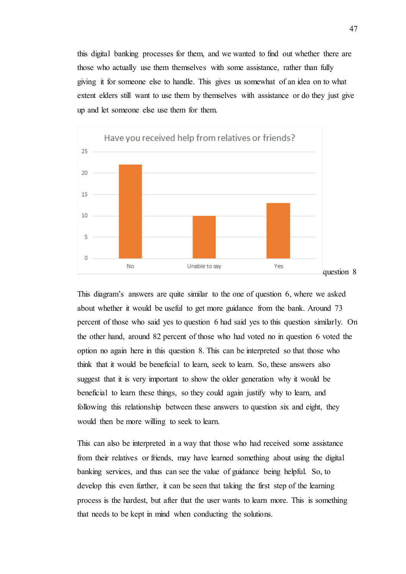this digital banking processes for them, and we wanted to find out whether there are those who actually use them themselves with some assistance, rather than fully giving it for someone else to handle. This gives us somewhat of an idea on to what extent elders still want to use them by themselves with assistance or do they just give up and let someone else use them for them.



This diagram's answers are quite similar to the one of question 6, where we asked about whether it would be useful to get more guidance from the bank. Around 73 percent of those who said yes to question 6 had said yes to this question similarly. On the other hand, around 82 percent of those who had voted no in question 6 voted the option no again here in this question 8. This can be interpreted so that those who think that it would be beneficial to learn, seek to learn. So, these answers also suggest that it is very important to show the older generation why it would be beneficial to learn these things, so they could again justify why to learn, and following this relationship between these answers to question six and eight, they would then be more willing to seek to learn.

This can also be interpreted in a way that those who had received some assistance from their relatives or friends, may have learned something about using the digital banking services, and thus can see the value of guidance being helpful. So, to develop this even further, it can be seen that taking the first step of the learning process is the hardest, but after that the user wants to learn more. This is something that needs to be kept in mind when conducting the solutions.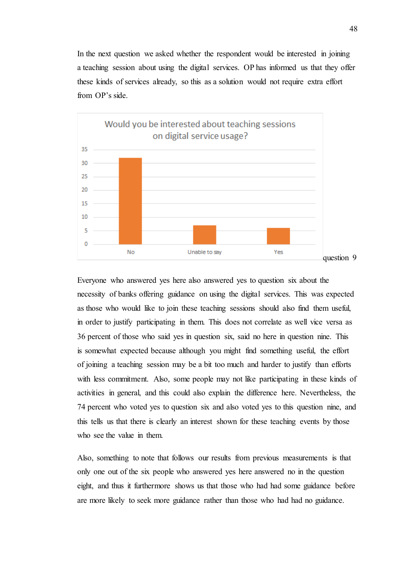In the next question we asked whether the respondent would be interested in joining a teaching session about using the digital services. OP has informed us that they offer these kinds of services already, so this as a solution would not require extra effort from OP's side.



Everyone who answered yes here also answered yes to question six about the necessity of banks offering guidance on using the digital services. This was expected as those who would like to join these teaching sessions should also find them useful, in order to justify participating in them. This does not correlate as well vice versa as 36 percent of those who said yes in question six, said no here in question nine. This is somewhat expected because although you might find something useful, the effort of joining a teaching session may be a bit too much and harder to justify than efforts with less commitment. Also, some people may not like participating in these kinds of activities in general, and this could also explain the difference here. Nevertheless, the 74 percent who voted yes to question six and also voted yes to this question nine, and this tells us that there is clearly an interest shown for these teaching events by those who see the value in them.

Also, something to note that follows our results from previous measurements is that only one out of the six people who answered yes here answered no in the question eight, and thus it furthermore shows us that those who had had some guidance before are more likely to seek more guidance rather than those who had had no guidance.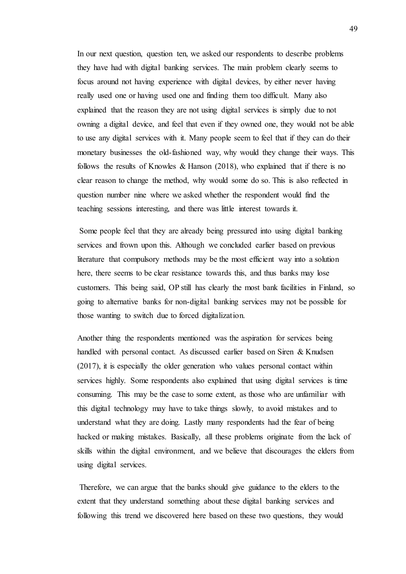In our next question, question ten, we asked our respondents to describe problems they have had with digital banking services. The main problem clearly seems to focus around not having experience with digital devices, by either never having really used one or having used one and finding them too difficult. Many also explained that the reason they are not using digital services is simply due to not owning a digital device, and feel that even if they owned one, they would not be able to use any digital services with it. Many people seem to feel that if they can do their monetary businesses the old-fashioned way, why would they change their ways. This follows the results of Knowles & Hanson (2018), who explained that if there is no clear reason to change the method, why would some do so. This is also reflected in question number nine where we asked whether the respondent would find the teaching sessions interesting, and there was little interest towards it.

Some people feel that they are already being pressured into using digital banking services and frown upon this. Although we concluded earlier based on previous literature that compulsory methods may be the most efficient way into a solution here, there seems to be clear resistance towards this, and thus banks may lose customers. This being said, OP still has clearly the most bank facilities in Finland, so going to alternative banks for non-digital banking services may not be possible for those wanting to switch due to forced digitalization.

Another thing the respondents mentioned was the aspiration for services being handled with personal contact. As discussed earlier based on Siren & Knudsen (2017), it is especially the older generation who values personal contact within services highly. Some respondents also explained that using digital services is time consuming. This may be the case to some extent, as those who are unfamiliar with this digital technology may have to take things slowly, to avoid mistakes and to understand what they are doing. Lastly many respondents had the fear of being hacked or making mistakes. Basically, all these problems originate from the lack of skills within the digital environment, and we believe that discourages the elders from using digital services.

Therefore, we can argue that the banks should give guidance to the elders to the extent that they understand something about these digital banking services and following this trend we discovered here based on these two questions, they would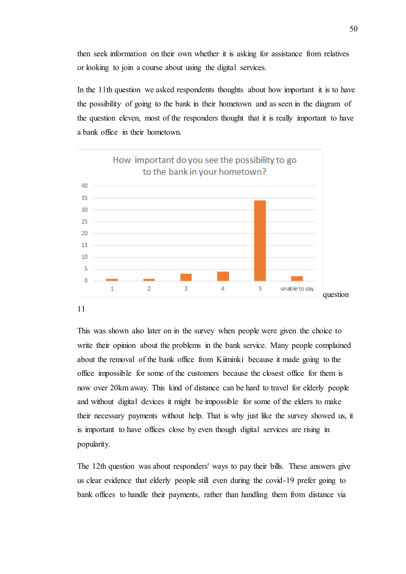then seek information on their own whether it is asking for assistance from relatives or looking to join a course about using the digital services.

In the 11th question we asked respondents thoughts about how important it is to have the possibility of going to the bank in their hometown and as seen in the diagram of the question eleven, most of the responders thought that it is really important to have a bank office in their hometown.



This was shown also later on in the survey when people were given the choice to write their opinion about the problems in the bank service. Many people complained about the removal of the bank office from Kiiminki because it made going to the office impossible for some of the customers because the closest office for them is now over 20km away. This kind of distance can be hard to travel for elderly people and without digital devices it might be impossible for some of the elders to make their necessary payments without help. That is why just like the survey showed us, it is important to have offices close by even though digital services are rising in popularity.

The 12th question was about responders' ways to pay their bills. These answers give us clear evidence that elderly people still even during the covid-19 prefer going to bank offices to handle their payments, rather than handling them from distance via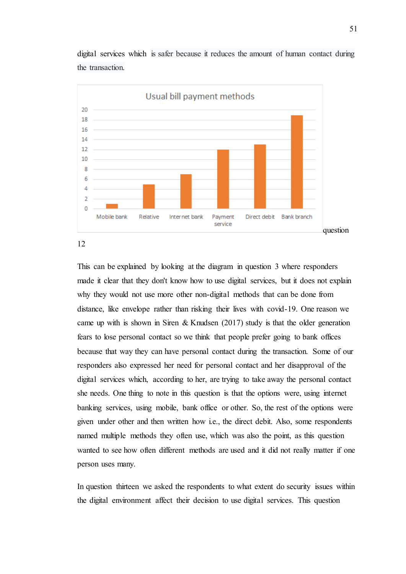

digital services which is safer because it reduces the amount of human contact during the transaction.

12

This can be explained by looking at the diagram in question 3 where responders made it clear that they don't know how to use digital services, but it does not explain why they would not use more other non-digital methods that can be done from distance, like envelope rather than risking their lives with covid-19. One reason we came up with is shown in Siren & Knudsen  $(2017)$  study is that the older generation fears to lose personal contact so we think that people prefer going to bank offices because that way they can have personal contact during the transaction. Some of our responders also expressed her need for personal contact and her disapproval of the digital services which, according to her, are trying to take away the personal contact she needs. One thing to note in this question is that the options were, using internet banking services, using mobile, bank office or other. So, the rest of the options were given under other and then written how i.e., the direct debit. Also, some respondents named multiple methods they often use, which was also the point, as this question wanted to see how often different methods are used and it did not really matter if one person uses many.

In question thirteen we asked the respondents to what extent do security issues within the digital environment affect their decision to use digital services. This question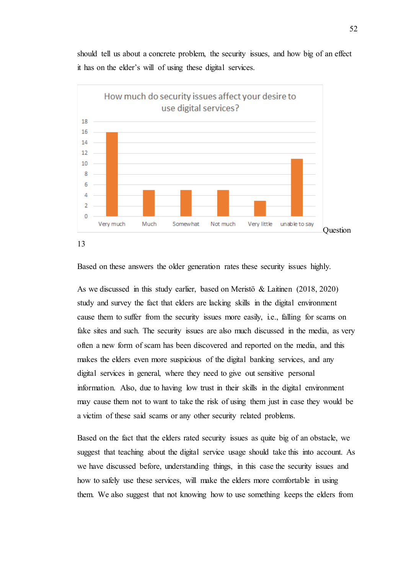should tell us about a concrete problem, the security issues, and how big of an effect it has on the elder's will of using these digital services.



Based on these answers the older generation rates these security issues highly.

As we discussed in this study earlier, based on Meristö & Laitinen (2018, 2020) study and survey the fact that elders are lacking skills in the digital environment cause them to suffer from the security issues more easily, i.e., falling for scams on fake sites and such. The security issues are also much discussed in the media, as very often a new form of scam has been discovered and reported on the media, and this makes the elders even more suspicious of the digital banking services, and any digital services in general, where they need to give out sensitive personal information. Also, due to having low trust in their skills in the digital environment may cause them not to want to take the risk of using them just in case they would be a victim of these said scams or any other security related problems.

Based on the fact that the elders rated security issues as quite big of an obstacle, we suggest that teaching about the digital service usage should take this into account. As we have discussed before, understanding things, in this case the security issues and how to safely use these services, will make the elders more comfortable in using them. We also suggest that not knowing how to use something keeps the elders from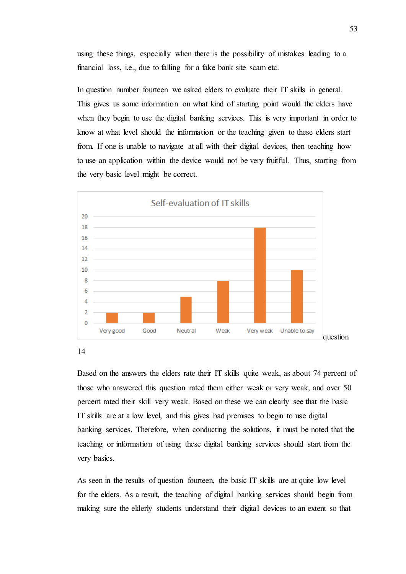using these things, especially when there is the possibility of mistakes leading to a financial loss, i.e., due to falling for a fake bank site scam etc.

In question number fourteen we asked elders to evaluate their IT skills in general. This gives us some information on what kind of starting point would the elders have when they begin to use the digital banking services. This is very important in order to know at what level should the information or the teaching given to these elders start from. If one is unable to navigate at all with their digital devices, then teaching how to use an application within the device would not be very fruitful. Thus, starting from the very basic level might be correct.



14

Based on the answers the elders rate their IT skills quite weak, as about 74 percent of those who answered this question rated them either weak or very weak, and over 50 percent rated their skill very weak. Based on these we can clearly see that the basic IT skills are at a low level, and this gives bad premises to begin to use digital banking services. Therefore, when conducting the solutions, it must be noted that the teaching or information of using these digital banking services should start from the very basics.

As seen in the results of question fourteen, the basic IT skills are at quite low level for the elders. As a result, the teaching of digital banking services should begin from making sure the elderly students understand their digital devices to an extent so that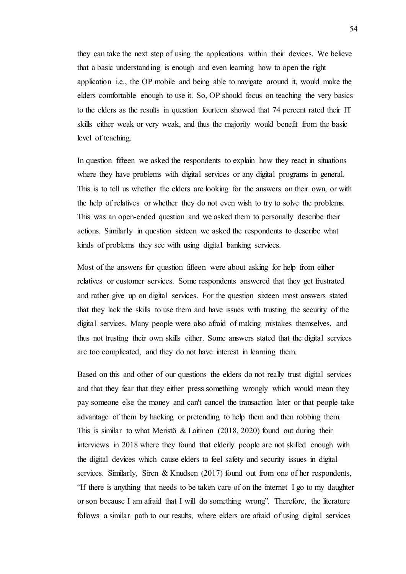they can take the next step of using the applications within their devices. We believe that a basic understanding is enough and even learning how to open the right application i.e., the OP mobile and being able to navigate around it, would make the elders comfortable enough to use it. So, OP should focus on teaching the very basics to the elders as the results in question fourteen showed that 74 percent rated their IT skills either weak or very weak, and thus the majority would benefit from the basic level of teaching.

In question fifteen we asked the respondents to explain how they react in situations where they have problems with digital services or any digital programs in general. This is to tell us whether the elders are looking for the answers on their own, or with the help of relatives or whether they do not even wish to try to solve the problems. This was an open-ended question and we asked them to personally describe their actions. Similarly in question sixteen we asked the respondents to describe what kinds of problems they see with using digital banking services.

Most of the answers for question fifteen were about asking for help from either relatives or customer services. Some respondents answered that they get frustrated and rather give up on digital services. For the question sixteen most answers stated that they lack the skills to use them and have issues with trusting the security of the digital services. Many people were also afraid of making mistakes themselves, and thus not trusting their own skills either. Some answers stated that the digital services are too complicated, and they do not have interest in learning them.

Based on this and other of our questions the elders do not really trust digital services and that they fear that they either press something wrongly which would mean they pay someone else the money and can't cancel the transaction later or that people take advantage of them by hacking or pretending to help them and then robbing them. This is similar to what Meristö & Laitinen (2018, 2020) found out during their interviews in 2018 where they found that elderly people are not skilled enough with the digital devices which cause elders to feel safety and security issues in digital services. Similarly, Siren & Knudsen (2017) found out from one of her respondents, "If there is anything that needs to be taken care of on the internet I go to my daughter or son because I am afraid that I will do something wrong". Therefore, the literature follows a similar path to our results, where elders are afraid of using digital services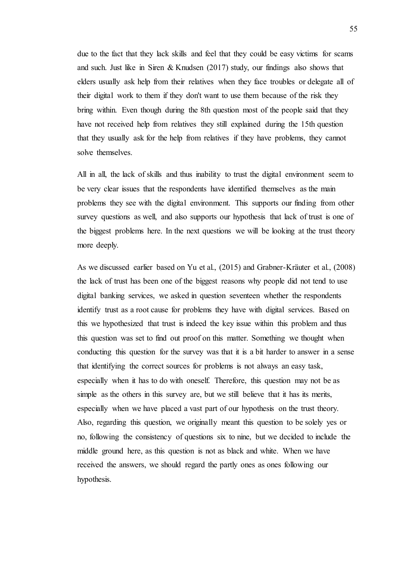due to the fact that they lack skills and feel that they could be easy victims for scams and such. Just like in Siren & Knudsen (2017) study, our findings also shows that elders usually ask help from their relatives when they face troubles or delegate all of their digital work to them if they don't want to use them because of the risk they bring within. Even though during the 8th question most of the people said that they have not received help from relatives they still explained during the 15th question that they usually ask for the help from relatives if they have problems, they cannot solve themselves.

All in all, the lack of skills and thus inability to trust the digital environment seem to be very clear issues that the respondents have identified themselves as the main problems they see with the digital environment. This supports our finding from other survey questions as well, and also supports our hypothesis that lack of trust is one of the biggest problems here. In the next questions we will be looking at the trust theory more deeply.

As we discussed earlier based on Yu et al., (2015) and Grabner-Kräuter et al., (2008) the lack of trust has been one of the biggest reasons why people did not tend to use digital banking services, we asked in question seventeen whether the respondents identify trust as a root cause for problems they have with digital services. Based on this we hypothesized that trust is indeed the key issue within this problem and thus this question was set to find out proof on this matter. Something we thought when conducting this question for the survey was that it is a bit harder to answer in a sense that identifying the correct sources for problems is not always an easy task, especially when it has to do with oneself. Therefore, this question may not be as simple as the others in this survey are, but we still believe that it has its merits, especially when we have placed a vast part of our hypothesis on the trust theory. Also, regarding this question, we originally meant this question to be solely yes or no, following the consistency of questions six to nine, but we decided to include the middle ground here, as this question is not as black and white. When we have received the answers, we should regard the partly ones as ones following our hypothesis.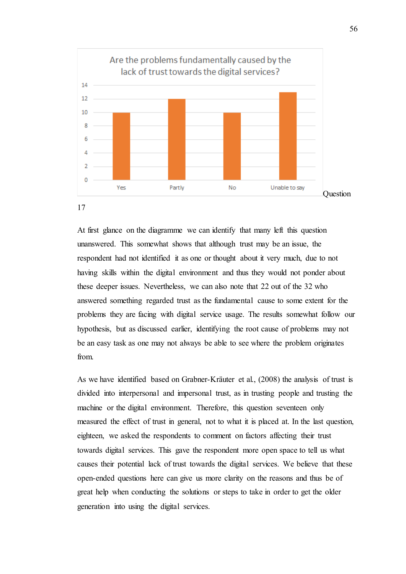



At first glance on the diagramme we can identify that many left this question unanswered. This somewhat shows that although trust may be an issue, the respondent had not identified it as one or thought about it very much, due to not having skills within the digital environment and thus they would not ponder about these deeper issues. Nevertheless, we can also note that 22 out of the 32 who answered something regarded trust as the fundamental cause to some extent for the problems they are facing with digital service usage. The results somewhat follow our hypothesis, but as discussed earlier, identifying the root cause of problems may not be an easy task as one may not always be able to see where the problem originates from.

As we have identified based on Grabner-Kräuter et al., (2008) the analysis of trust is divided into interpersonal and impersonal trust, as in trusting people and trusting the machine or the digital environment. Therefore, this question seventeen only measured the effect of trust in general, not to what it is placed at. In the last question, eighteen, we asked the respondents to comment on factors affecting their trust towards digital services. This gave the respondent more open space to tell us what causes their potential lack of trust towards the digital services. We believe that these open-ended questions here can give us more clarity on the reasons and thus be of great help when conducting the solutions or steps to take in order to get the older generation into using the digital services.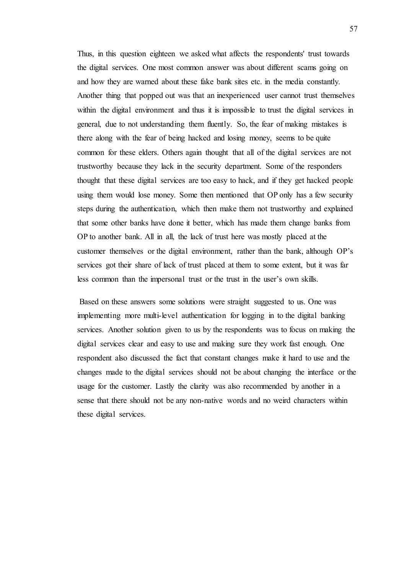Thus, in this question eighteen we asked what affects the respondents' trust towards the digital services. One most common answer was about different scams going on and how they are warned about these fake bank sites etc. in the media constantly. Another thing that popped out was that an inexperienced user cannot trust themselves within the digital environment and thus it is impossible to trust the digital services in general, due to not understanding them fluently. So, the fear of making mistakes is there along with the fear of being hacked and losing money, seems to be quite common for these elders. Others again thought that all of the digital services are not trustworthy because they lack in the security department. Some of the responders thought that these digital services are too easy to hack, and if they get hacked people using them would lose money. Some then mentioned that OP only has a few security steps during the authentication, which then make them not trustworthy and explained that some other banks have done it better, which has made them change banks from OP to another bank. All in all, the lack of trust here was mostly placed at the customer themselves or the digital environment, rather than the bank, although OP's services got their share of lack of trust placed at them to some extent, but it was far less common than the impersonal trust or the trust in the user's own skills.

Based on these answers some solutions were straight suggested to us. One was implementing more multi-level authentication for logging in to the digital banking services. Another solution given to us by the respondents was to focus on making the digital services clear and easy to use and making sure they work fast enough. One respondent also discussed the fact that constant changes make it hard to use and the changes made to the digital services should not be about changing the interface or the usage for the customer. Lastly the clarity was also recommended by another in a sense that there should not be any non-native words and no weird characters within these digital services.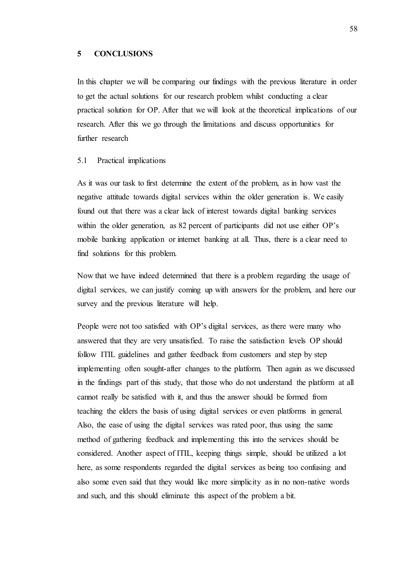## **5 CONCLUSIONS**

In this chapter we will be comparing our findings with the previous literature in order to get the actual solutions for our research problem whilst conducting a clear practical solution for OP. After that we will look at the theoretical implications of our research. After this we go through the limitations and discuss opportunities for further research

# 5.1 Practical implications

As it was our task to first determine the extent of the problem, as in how vast the negative attitude towards digital services within the older generation is. We easily found out that there was a clear lack of interest towards digital banking services within the older generation, as 82 percent of participants did not use either OP's mobile banking application or internet banking at all. Thus, there is a clear need to find solutions for this problem.

Now that we have indeed determined that there is a problem regarding the usage of digital services, we can justify coming up with answers for the problem, and here our survey and the previous literature will help.

People were not too satisfied with OP's digital services, as there were many who answered that they are very unsatisfied. To raise the satisfaction levels OP should follow ITIL guidelines and gather feedback from customers and step by step implementing often sought-after changes to the platform. Then again as we discussed in the findings part of this study, that those who do not understand the platform at all cannot really be satisfied with it, and thus the answer should be formed from teaching the elders the basis of using digital services or even platforms in general. Also, the ease of using the digital services was rated poor, thus using the same method of gathering feedback and implementing this into the services should be considered. Another aspect of ITIL, keeping things simple, should be utilized a lot here, as some respondents regarded the digital services as being too confusing and also some even said that they would like more simplicity as in no non-native words and such, and this should eliminate this aspect of the problem a bit.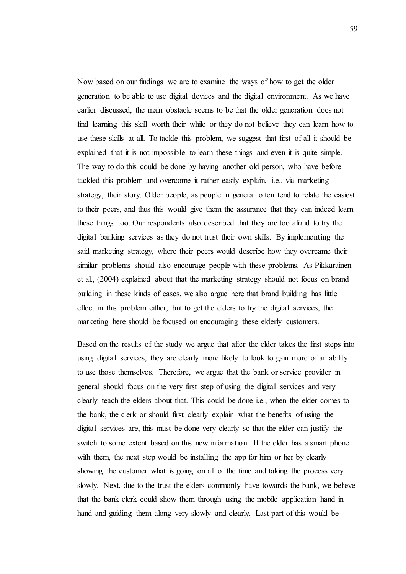Now based on our findings we are to examine the ways of how to get the older generation to be able to use digital devices and the digital environment. As we have earlier discussed, the main obstacle seems to be that the older generation does not find learning this skill worth their while or they do not believe they can learn how to use these skills at all. To tackle this problem, we suggest that first of all it should be explained that it is not impossible to learn these things and even it is quite simple. The way to do this could be done by having another old person, who have before tackled this problem and overcome it rather easily explain, i.e., via marketing strategy, their story. Older people, as people in general often tend to relate the easiest to their peers, and thus this would give them the assurance that they can indeed learn these things too. Our respondents also described that they are too afraid to try the digital banking services as they do not trust their own skills. By implementing the said marketing strategy, where their peers would describe how they overcame their similar problems should also encourage people with these problems. As Pikkarainen et al., (2004) explained about that the marketing strategy should not focus on brand building in these kinds of cases, we also argue here that brand building has little effect in this problem either, but to get the elders to try the digital services, the marketing here should be focused on encouraging these elderly customers.

Based on the results of the study we argue that after the elder takes the first steps into using digital services, they are clearly more likely to look to gain more of an ability to use those themselves. Therefore, we argue that the bank or service provider in general should focus on the very first step of using the digital services and very clearly teach the elders about that. This could be done i.e., when the elder comes to the bank, the clerk or should first clearly explain what the benefits of using the digital services are, this must be done very clearly so that the elder can justify the switch to some extent based on this new information. If the elder has a smart phone with them, the next step would be installing the app for him or her by clearly showing the customer what is going on all of the time and taking the process very slowly. Next, due to the trust the elders commonly have towards the bank, we believe that the bank clerk could show them through using the mobile application hand in hand and guiding them along very slowly and clearly. Last part of this would be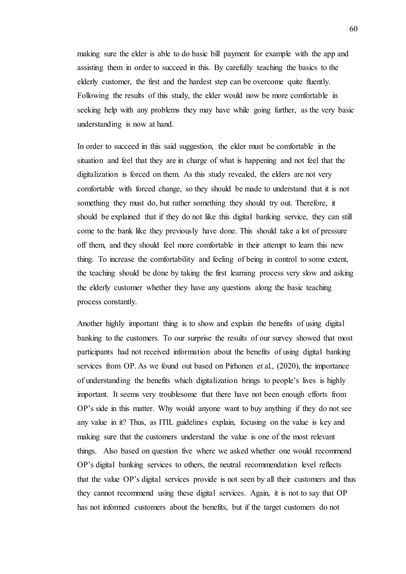making sure the elder is able to do basic bill payment for example with the app and assisting them in order to succeed in this. By carefully teaching the basics to the elderly customer, the first and the hardest step can be overcome quite fluently. Following the results of this study, the elder would now be more comfortable in seeking help with any problems they may have while going further, as the very basic understanding is now at hand.

In order to succeed in this said suggestion, the elder must be comfortable in the situation and feel that they are in charge of what is happening and not feel that the digitalization is forced on them. As this study revealed, the elders are not very comfortable with forced change, so they should be made to understand that it is not something they must do, but rather something they should try out. Therefore, it should be explained that if they do not like this digital banking service, they can still come to the bank like they previously have done. This should take a lot of pressure off them, and they should feel more comfortable in their attempt to learn this new thing. To increase the comfortability and feeling of being in control to some extent, the teaching should be done by taking the first learning process very slow and asking the elderly customer whether they have any questions along the basic teaching process constantly.

Another highly important thing is to show and explain the benefits of using digital banking to the customers. To our surprise the results of our survey showed that most participants had not received information about the benefits of using digital banking services from OP. As we found out based on Pirhonen et al., (2020), the importance of understanding the benefits which digitalization brings to people's lives is highly important. It seems very troublesome that there have not been enough efforts from OP's side in this matter. Why would anyone want to buy anything if they do not see any value in it? Thus, as ITIL guidelines explain, focusing on the value is key and making sure that the customers understand the value is one of the most relevant things. Also based on question five where we asked whether one would recommend OP's digital banking services to others, the neutral recommendation level reflects that the value OP's digital services provide is not seen by all their customers and thus they cannot recommend using these digital services. Again, it is not to say that OP has not informed customers about the benefits, but if the target customers do not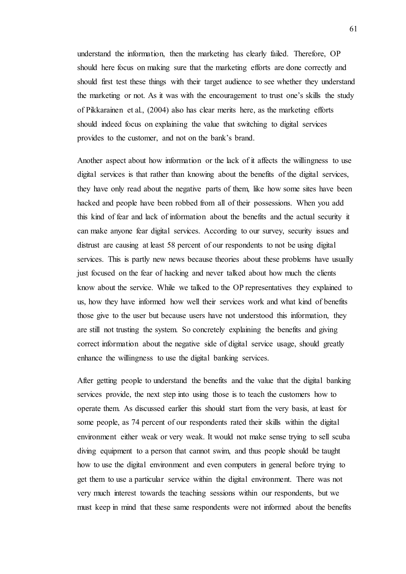understand the information, then the marketing has clearly failed. Therefore, OP should here focus on making sure that the marketing efforts are done correctly and should first test these things with their target audience to see whether they understand the marketing or not. As it was with the encouragement to trust one's skills the study of Pikkarainen et al., (2004) also has clear merits here, as the marketing efforts should indeed focus on explaining the value that switching to digital services provides to the customer, and not on the bank's brand.

Another aspect about how information or the lack of it affects the willingness to use digital services is that rather than knowing about the benefits of the digital services, they have only read about the negative parts of them, like how some sites have been hacked and people have been robbed from all of their possessions. When you add this kind of fear and lack of information about the benefits and the actual security it can make anyone fear digital services. According to our survey, security issues and distrust are causing at least 58 percent of our respondents to not be using digital services. This is partly new news because theories about these problems have usually just focused on the fear of hacking and never talked about how much the clients know about the service. While we talked to the OP representatives they explained to us, how they have informed how well their services work and what kind of benefits those give to the user but because users have not understood this information, they are still not trusting the system. So concretely explaining the benefits and giving correct information about the negative side of digital service usage, should greatly enhance the willingness to use the digital banking services.

After getting people to understand the benefits and the value that the digital banking services provide, the next step into using those is to teach the customers how to operate them. As discussed earlier this should start from the very basis, at least for some people, as 74 percent of our respondents rated their skills within the digital environment either weak or very weak. It would not make sense trying to sell scuba diving equipment to a person that cannot swim, and thus people should be taught how to use the digital environment and even computers in general before trying to get them to use a particular service within the digital environment. There was not very much interest towards the teaching sessions within our respondents, but we must keep in mind that these same respondents were not informed about the benefits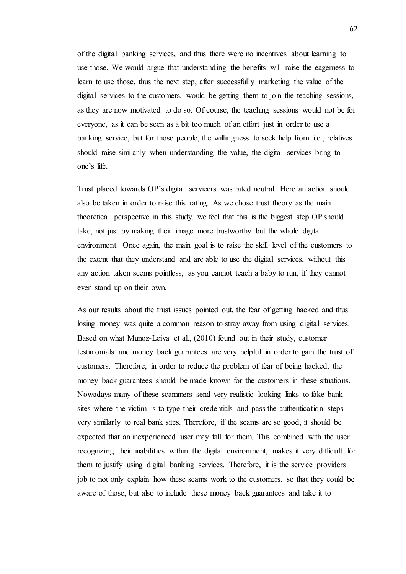of the digital banking services, and thus there were no incentives about learning to use those. We would argue that understanding the benefits will raise the eagerness to learn to use those, thus the next step, after successfully marketing the value of the digital services to the customers, would be getting them to join the teaching sessions, as they are now motivated to do so. Of course, the teaching sessions would not be for everyone, as it can be seen as a bit too much of an effort just in order to use a banking service, but for those people, the willingness to seek help from i.e., relatives should raise similarly when understanding the value, the digital services bring to one's life.

Trust placed towards OP's digital servicers was rated neutral. Here an action should also be taken in order to raise this rating. As we chose trust theory as the main theoretical perspective in this study, we feel that this is the biggest step OP should take, not just by making their image more trustworthy but the whole digital environment. Once again, the main goal is to raise the skill level of the customers to the extent that they understand and are able to use the digital services, without this any action taken seems pointless, as you cannot teach a baby to run, if they cannot even stand up on their own.

As our results about the trust issues pointed out, the fear of getting hacked and thus losing money was quite a common reason to stray away from using digital services. Based on what Munoz-Leiva et al., (2010) found out in their study, customer testimonials and money back guarantees are very helpful in order to gain the trust of customers. Therefore, in order to reduce the problem of fear of being hacked, the money back guarantees should be made known for the customers in these situations. Nowadays many of these scammers send very realistic looking links to fake bank sites where the victim is to type their credentials and pass the authentication steps very similarly to real bank sites. Therefore, if the scams are so good, it should be expected that an inexperienced user may fall for them. This combined with the user recognizing their inabilities within the digital environment, makes it very difficult for them to justify using digital banking services. Therefore, it is the service providers job to not only explain how these scams work to the customers, so that they could be aware of those, but also to include these money back guarantees and take it to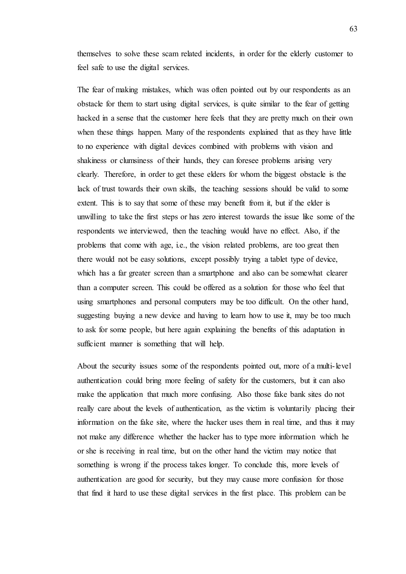themselves to solve these scam related incidents, in order for the elderly customer to feel safe to use the digital services.

The fear of making mistakes, which was often pointed out by our respondents as an obstacle for them to start using digital services, is quite similar to the fear of getting hacked in a sense that the customer here feels that they are pretty much on their own when these things happen. Many of the respondents explained that as they have little to no experience with digital devices combined with problems with vision and shakiness or clumsiness of their hands, they can foresee problems arising very clearly. Therefore, in order to get these elders for whom the biggest obstacle is the lack of trust towards their own skills, the teaching sessions should be valid to some extent. This is to say that some of these may benefit from it, but if the elder is unwilling to take the first steps or has zero interest towards the issue like some of the respondents we interviewed, then the teaching would have no effect. Also, if the problems that come with age, i.e., the vision related problems, are too great then there would not be easy solutions, except possibly trying a tablet type of device, which has a far greater screen than a smartphone and also can be somewhat clearer than a computer screen. This could be offered as a solution for those who feel that using smartphones and personal computers may be too difficult. On the other hand, suggesting buying a new device and having to learn how to use it, may be too much to ask for some people, but here again explaining the benefits of this adaptation in sufficient manner is something that will help.

About the security issues some of the respondents pointed out, more of a multi-level authentication could bring more feeling of safety for the customers, but it can also make the application that much more confusing. Also those fake bank sites do not really care about the levels of authentication, as the victim is voluntarily placing their information on the fake site, where the hacker uses them in real time, and thus it may not make any difference whether the hacker has to type more information which he or she is receiving in real time, but on the other hand the victim may notice that something is wrong if the process takes longer. To conclude this, more levels of authentication are good for security, but they may cause more confusion for those that find it hard to use these digital services in the first place. This problem can be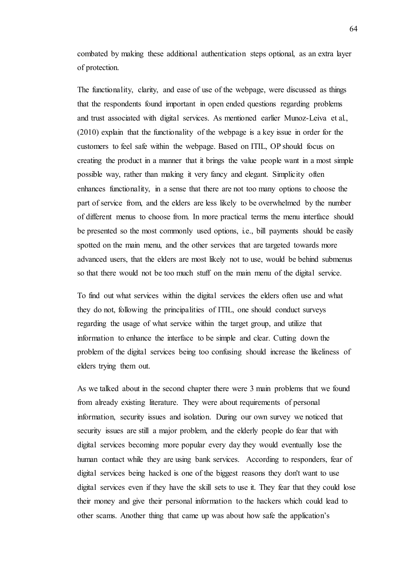combated by making these additional authentication steps optional, as an extra layer of protection.

The functionality, clarity, and ease of use of the webpage, were discussed as things that the respondents found important in open ended questions regarding problems and trust associated with digital services. As mentioned earlier Munoz-Leiva et al., (2010) explain that the functionality of the webpage is a key issue in order for the customers to feel safe within the webpage. Based on ITIL, OP should focus on creating the product in a manner that it brings the value people want in a most simple possible way, rather than making it very fancy and elegant. Simplicity often enhances functionality, in a sense that there are not too many options to choose the part of service from, and the elders are less likely to be overwhelmed by the number of different menus to choose from. In more practical terms the menu interface should be presented so the most commonly used options, i.e., bill payments should be easily spotted on the main menu, and the other services that are targeted towards more advanced users, that the elders are most likely not to use, would be behind submenus so that there would not be too much stuff on the main menu of the digital service.

To find out what services within the digital services the elders often use and what they do not, following the principalities of ITIL, one should conduct surveys regarding the usage of what service within the target group, and utilize that information to enhance the interface to be simple and clear. Cutting down the problem of the digital services being too confusing should increase the likeliness of elders trying them out.

As we talked about in the second chapter there were 3 main problems that we found from already existing literature. They were about requirements of personal information, security issues and isolation. During our own survey we noticed that security issues are still a major problem, and the elderly people do fear that with digital services becoming more popular every day they would eventually lose the human contact while they are using bank services. According to responders, fear of digital services being hacked is one of the biggest reasons they don't want to use digital services even if they have the skill sets to use it. They fear that they could lose their money and give their personal information to the hackers which could lead to other scams. Another thing that came up was about how safe the application's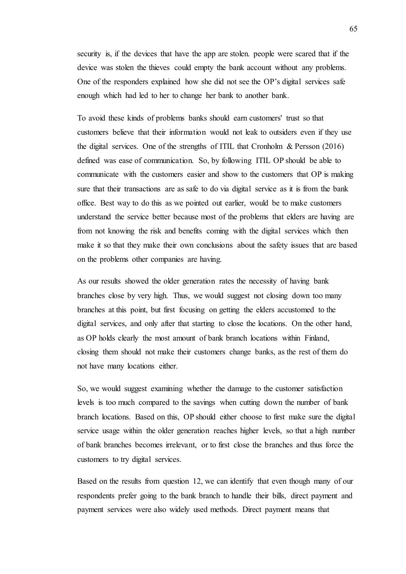security is, if the devices that have the app are stolen. people were scared that if the device was stolen the thieves could empty the bank account without any problems. One of the responders explained how she did not see the OP's digital services safe enough which had led to her to change her bank to another bank.

To avoid these kinds of problems banks should earn customers' trust so that customers believe that their information would not leak to outsiders even if they use the digital services. One of the strengths of ITIL that Cronholm & Persson (2016) defined was ease of communication. So, by following ITIL OP should be able to communicate with the customers easier and show to the customers that OP is making sure that their transactions are as safe to do via digital service as it is from the bank office. Best way to do this as we pointed out earlier, would be to make customers understand the service better because most of the problems that elders are having are from not knowing the risk and benefits coming with the digital services which then make it so that they make their own conclusions about the safety issues that are based on the problems other companies are having.

As our results showed the older generation rates the necessity of having bank branches close by very high. Thus, we would suggest not closing down too many branches at this point, but first focusing on getting the elders accustomed to the digital services, and only after that starting to close the locations. On the other hand, as OP holds clearly the most amount of bank branch locations within Finland, closing them should not make their customers change banks, as the rest of them do not have many locations either.

So, we would suggest examining whether the damage to the customer satisfaction levels is too much compared to the savings when cutting down the number of bank branch locations. Based on this, OP should either choose to first make sure the digital service usage within the older generation reaches higher levels, so that a high number of bank branches becomes irrelevant, or to first close the branches and thus force the customers to try digital services.

Based on the results from question 12, we can identify that even though many of our respondents prefer going to the bank branch to handle their bills, direct payment and payment services were also widely used methods. Direct payment means that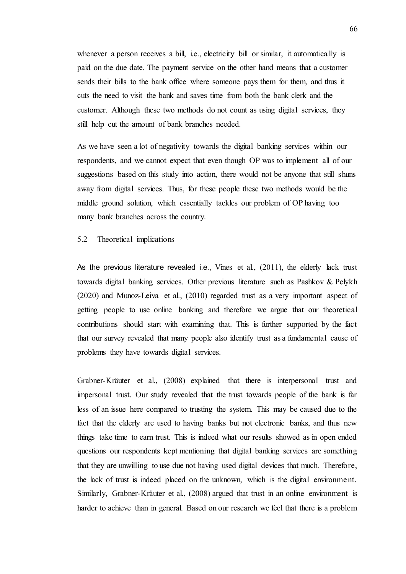whenever a person receives a bill, i.e., electricity bill or similar, it automatically is paid on the due date. The payment service on the other hand means that a customer sends their bills to the bank office where someone pays them for them, and thus it cuts the need to visit the bank and saves time from both the bank clerk and the customer. Although these two methods do not count as using digital services, they still help cut the amount of bank branches needed.

As we have seen a lot of negativity towards the digital banking services within our respondents, and we cannot expect that even though OP was to implement all of our suggestions based on this study into action, there would not be anyone that still shuns away from digital services. Thus, for these people these two methods would be the middle ground solution, which essentially tackles our problem of OP having too many bank branches across the country.

### 5.2 Theoretical implications

As the previous literature revealed i.e., Vines et al., (2011), the elderly lack trust towards digital banking services. Other previous literature such as Pashkov & Pelykh (2020) and Munoz-Leiva et al., (2010) regarded trust as a very important aspect of getting people to use online banking and therefore we argue that our theoretical contributions should start with examining that. This is further supported by the fact that our survey revealed that many people also identify trust as a fundamental cause of problems they have towards digital services.

Grabner-Kräuter et al., (2008) explained that there is interpersonal trust and impersonal trust. Our study revealed that the trust towards people of the bank is far less of an issue here compared to trusting the system. This may be caused due to the fact that the elderly are used to having banks but not electronic banks, and thus new things take time to earn trust. This is indeed what our results showed as in open ended questions our respondents kept mentioning that digital banking services are something that they are unwilling to use due not having used digital devices that much. Therefore, the lack of trust is indeed placed on the unknown, which is the digital environment. Similarly, Grabner-Kräuter et al., (2008) argued that trust in an online environment is harder to achieve than in general. Based on our research we feel that there is a problem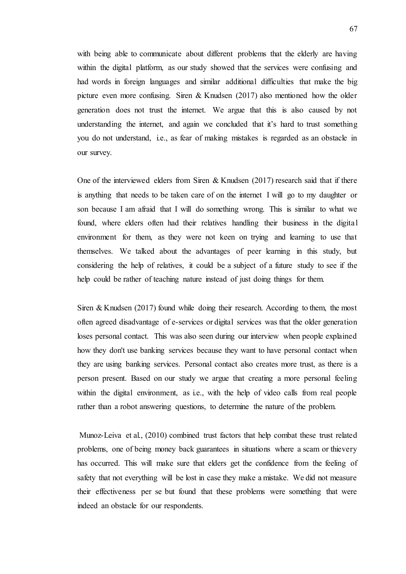with being able to communicate about different problems that the elderly are having within the digital platform, as our study showed that the services were confusing and had words in foreign languages and similar additional difficulties that make the big picture even more confusing. Siren & Knudsen (2017) also mentioned how the older generation does not trust the internet. We argue that this is also caused by not understanding the internet, and again we concluded that it's hard to trust something you do not understand, i.e., as fear of making mistakes is regarded as an obstacle in our survey.

One of the interviewed elders from Siren & Knudsen  $(2017)$  research said that if there is anything that needs to be taken care of on the internet I will go to my daughter or son because I am afraid that I will do something wrong. This is similar to what we found, where elders often had their relatives handling their business in the digital environment for them, as they were not keen on trying and learning to use that themselves. We talked about the advantages of peer learning in this study, but considering the help of relatives, it could be a subject of a future study to see if the help could be rather of teaching nature instead of just doing things for them.

Siren & Knudsen (2017) found while doing their research. According to them, the most often agreed disadvantage of e-services or digital services was that the older generation loses personal contact. This was also seen during our interview when people explained how they don't use banking services because they want to have personal contact when they are using banking services. Personal contact also creates more trust, as there is a person present. Based on our study we argue that creating a more personal feeling within the digital environment, as i.e., with the help of video calls from real people rather than a robot answering questions, to determine the nature of the problem.

Munoz-Leiva et al., (2010) combined trust factors that help combat these trust related problems, one of being money back guarantees in situations where a scam or thievery has occurred. This will make sure that elders get the confidence from the feeling of safety that not everything will be lost in case they make a mistake. We did not measure their effectiveness per se but found that these problems were something that were indeed an obstacle for our respondents.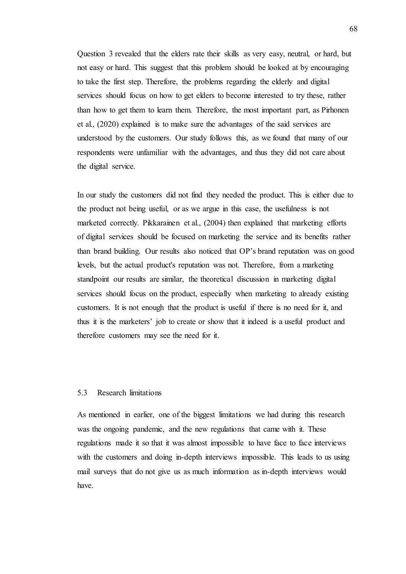Question 3 revealed that the elders rate their skills as very easy, neutral, or hard, but not easy or hard. This suggest that this problem should be looked at by encouraging to take the first step. Therefore, the problems regarding the elderly and digital services should focus on how to get elders to become interested to try these, rather than how to get them to learn them. Therefore, the most important part, as Pirhonen et al., (2020) explained is to make sure the advantages of the said services are understood by the customers. Our study follows this, as we found that many of our respondents were unfamiliar with the advantages, and thus they did not care about the digital service.

In our study the customers did not find they needed the product. This is either due to the product not being useful, or as we argue in this case, the usefulness is not marketed correctly. Pikkarainen et al., (2004) then explained that marketing efforts of digital services should be focused on marketing the service and its benefits rather than brand building. Our results also noticed that OP's brand reputation was on good levels, but the actual product's reputation was not. Therefore, from a marketing standpoint our results are similar, the theoretical discussion in marketing digital services should focus on the product, especially when marketing to already existing customers. It is not enough that the product is useful if there is no need for it, and thus it is the marketers' job to create or show that it indeed is a useful product and therefore customers may see the need for it.

# 5.3 Research limitations

As mentioned in earlier, one of the biggest limitations we had during this research was the ongoing pandemic, and the new regulations that came with it. These regulations made it so that it was almost impossible to have face to face interviews with the customers and doing in-depth interviews impossible. This leads to us using mail surveys that do not give us as much information as in-depth interviews would have.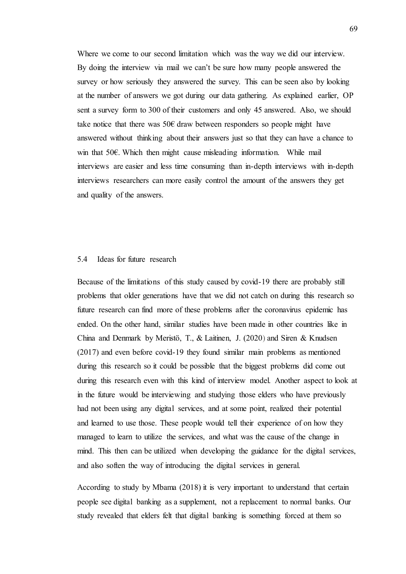Where we come to our second limitation which was the way we did our interview. By doing the interview via mail we can't be sure how many people answered the survey or how seriously they answered the survey. This can be seen also by looking at the number of answers we got during our data gathering. As explained earlier, OP sent a survey form to 300 of their customers and only 45 answered. Also, we should take notice that there was 50 $\epsilon$  draw between responders so people might have answered without thinking about their answers just so that they can have a chance to win that 50€. Which then might cause misleading information. While mail interviews are easier and less time consuming than in-depth interviews with in-depth interviews researchers can more easily control the amount of the answers they get and quality of the answers.

## 5.4 Ideas for future research

Because of the limitations of this study caused by covid-19 there are probably still problems that older generations have that we did not catch on during this research so future research can find more of these problems after the coronavirus epidemic has ended. On the other hand, similar studies have been made in other countries like in China and Denmark by Meristö, T., & Laitinen, J. (2020) and Siren & Knudsen (2017) and even before covid-19 they found similar main problems as mentioned during this research so it could be possible that the biggest problems did come out during this research even with this kind of interview model. Another aspect to look at in the future would be interviewing and studying those elders who have previously had not been using any digital services, and at some point, realized their potential and learned to use those. These people would tell their experience of on how they managed to learn to utilize the services, and what was the cause of the change in mind. This then can be utilized when developing the guidance for the digital services, and also soften the way of introducing the digital services in general.

According to study by Mbama (2018) it is very important to understand that certain people see digital banking as a supplement, not a replacement to normal banks. Our study revealed that elders felt that digital banking is something forced at them so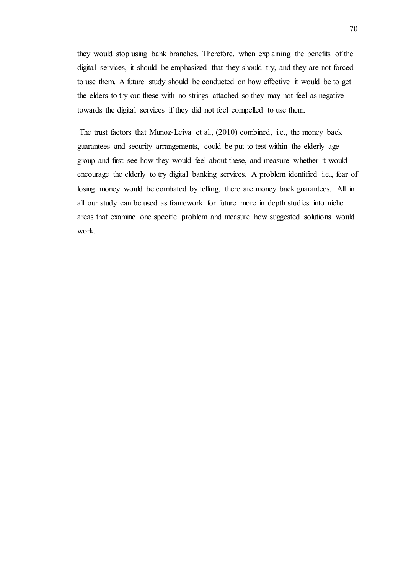they would stop using bank branches. Therefore, when explaining the benefits of the digital services, it should be emphasized that they should try, and they are not forced to use them. A future study should be conducted on how effective it would be to get the elders to try out these with no strings attached so they may not feel as negative towards the digital services if they did not feel compelled to use them.

The trust factors that Munoz-Leiva et al., (2010) combined, i.e., the money back guarantees and security arrangements, could be put to test within the elderly age group and first see how they would feel about these, and measure whether it would encourage the elderly to try digital banking services. A problem identified i.e., fear of losing money would be combated by telling, there are money back guarantees. All in all our study can be used as framework for future more in depth studies into niche areas that examine one specific problem and measure how suggested solutions would work.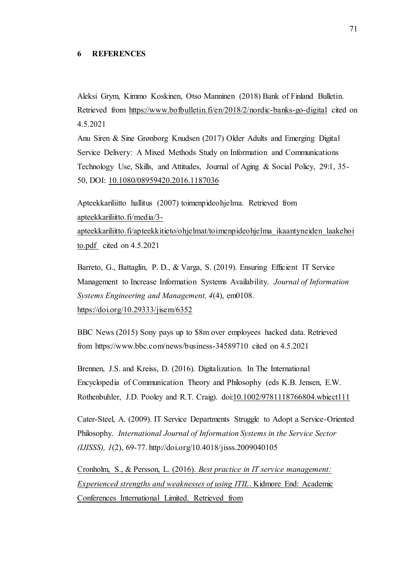### **6 REFERENCES**

Aleksi Grym, Kimmo Koskinen, Otso Manninen (2018) Bank of Finland Bulletin. Retrieved from <https://www.bofbulletin.fi/en/2018/2/nordic-banks-go-digital> cited on 4.5.2021

Anu Siren & Sine Grønborg Knudsen (2017) Older Adults and Emerging Digital Service Delivery: A Mixed Methods Study on Information and Communications Technology Use, Skills, and Attitudes, Journal of Aging & Social Policy, 29:1, 35- 50, DOI: [10.1080/08959420.2016.1187036](https://doi.org/10.1080/08959420.2016.1187036)

Apteekkariliitto hallitus (2007) toimenpideohjelma. Retrieved from [apteekkariliitto.fi/media/3-](file:///C:/Users/mika/Downloads/apteekkariliitto.fi/media/3-apteekkariliitto.fi/apteekkitieto/ohjelmat/toimenpideohjelma_ikaantyneiden_laakehoito.pdf%20https:/yle.fi/uutiset/3-11262344)

[apteekkariliitto.fi/apteekkitieto/ohjelmat/toimenpideohjelma\\_ikaantyneiden\\_laakehoi](file:///C:/Users/mika/Downloads/apteekkariliitto.fi/media/3-apteekkariliitto.fi/apteekkitieto/ohjelmat/toimenpideohjelma_ikaantyneiden_laakehoito.pdf%20https:/yle.fi/uutiset/3-11262344) [to.pdf](file:///C:/Users/mika/Downloads/apteekkariliitto.fi/media/3-apteekkariliitto.fi/apteekkitieto/ohjelmat/toimenpideohjelma_ikaantyneiden_laakehoito.pdf%20https:/yle.fi/uutiset/3-11262344) cited on 4.5.2021

Barreto, G., Battaglin, P. D., & Varga, S. (2019). Ensuring Efficient IT Service Management to Increase Information Systems Availability. *Journal of Information Systems Engineering and Management, 4*(4), em0108. <https://doi.org/10.29333/jisem/6352>

BBC News (2015) Sony pays up to \$8m over employees hacked data. Retrieved from https://www.bbc.com/news/business-34589710 cited on 4.5.2021

Brennen, J.S. and Kreiss, D. (2016). Digitalization. In The International Encyclopedia of Communication Theory and Philosophy (eds K.B. Jensen, E.W. Rothenbuhler, J.D. Pooley and R.T. Craig). doi[:10.1002/9781118766804.wbiect111](https://doi.org/10.1002/9781118766804.wbiect111)

Cater-Steel, A. (2009). IT Service Departments Struggle to Adopt a Service-Oriented Philosophy. *International Journal of Information Systems in the Service Sector (IJISSS), 1*(2), 69-77. http://doi.org/10.4018/jisss.2009040105

Cronholm, S., & Persson, L. (2016). *Best practice in IT service management: Experienced strengths and weaknesses of using ITIL*. Kidmore End: Academic Conferences International Limited. Retrieved from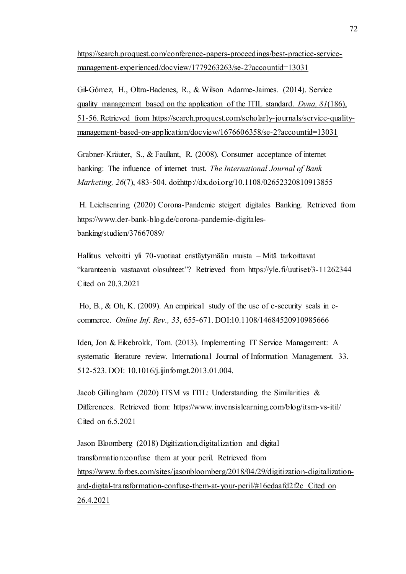[https://search.proquest.com/conference-papers-proceedings/best-practice-service](https://search.proquest.com/conference-papers-proceedings/best-practice-service-management-experienced/docview/1779263263/se-2?accountid=13031)[management-experienced/docview/1779263263/se-2?accountid=13031](https://search.proquest.com/conference-papers-proceedings/best-practice-service-management-experienced/docview/1779263263/se-2?accountid=13031)

Gil-Gómez, H., Oltra-Badenes, R., & Wilson Adarme-Jaimes. (2014). Service quality management based on the application of the ITIL standard. *Dyna, 81*(186), 51-56. Retrieved from https://search.proquest.com/scholarly-journals/service-qualitymanagement-based-on-application/docview/1676606358/se-2?accountid=13031

Grabner-Kräuter, S., & Faullant, R. (2008). Consumer acceptance of internet banking: The influence of internet trust. *The International Journal of Bank Marketing, 26*(7), 483-504. doi:http://dx.doi.org/10.1108/02652320810913855

H. Leichsenring (2020) Corona-Pandemie steigert digitales Banking. Retrieved from https://www.der-bank-blog.de/corona-pandemie-digitalesbanking/studien/37667089/

Hallitus velvoitti yli 70-vuotiaat eristäytymään muista – Mitä tarkoittavat "karanteenia vastaavat olosuhteet"? Retrieved from https://yle.fi/uutiset/3-11262344 Cited on 20.3.2021

Ho, B., & Oh, K. (2009). An empirical study of the use of e-security seals in ecommerce. *Online Inf. Rev., 33*, 655-671. DOI:10.1108/14684520910985666

Iden, Jon & Eikebrokk, Tom. (2013). Implementing IT Service Management: A systematic literature review. International Journal of Information Management. 33. 512-523. DOI: 10.1016/j.ijinfomgt.2013.01.004.

Jacob Gillingham (2020) ITSM vs ITIL: Understanding the Similarities & Differences. Retrieved from: https://www.invensislearning.com/blog/itsm-vs-itil/ Cited on 6.5.2021

Jason Bloomberg (2018) Digitization,digitalization and digital transformation:confuse them at your peril. Retrieved from [https://www.forbes.com/sites/jasonbloomberg/2018/04/29/digitization-digitalization](https://www.forbes.com/sites/jasonbloomberg/2018/04/29/digitization-digitalization-and-digital-transformation-confuse-them-at-your-peril/#16edaafd2f2c)[and-digital-transformation-confuse-them-at-your-peril/#16edaafd2f2c](https://www.forbes.com/sites/jasonbloomberg/2018/04/29/digitization-digitalization-and-digital-transformation-confuse-them-at-your-peril/#16edaafd2f2c) Cited on 26.4.2021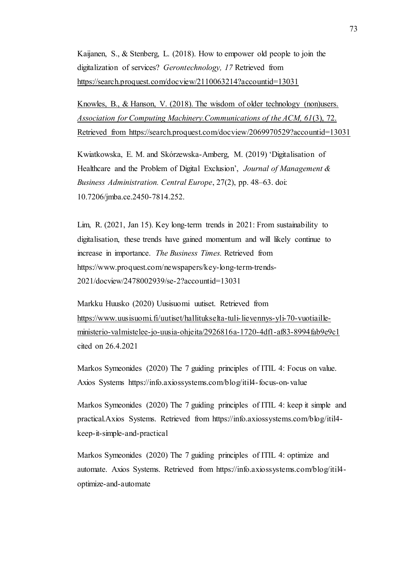Kaijanen, S., & Stenberg, L. (2018). How to empower old people to join the digitalization of services? *Gerontechnology, 17* Retrieved fro[m](https://search.proquest.com/docview/2110063214?accountid=13031) <https://search.proquest.com/docview/2110063214?accountid=13031>

Knowles, B., & Hanson, V. (2018). The wisdom of older technology (non)users. *Association for Computing Machinery.Communications of the ACM, 61*(3), 72. Retrieved from <https://search.proquest.com/docview/2069970529?accountid=13031>

Kwiatkowska, E. M. and Skórzewska-Amberg, M. (2019) 'Digitalisation of Healthcare and the Problem of Digital Exclusion', *Journal of Management & Business Administration. Central Europe*, 27(2), pp. 48–63. doi: 10.7206/jmba.ce.2450-7814.252.

Lim, R. (2021, Jan 15). Key long-term trends in 2021: From sustainability to digitalisation, these trends have gained momentum and will likely continue to increase in importance. *The Business Times.* Retrieved from https://www.proquest.com/newspapers/key-long-term-trends-2021/docview/2478002939/se-2?accountid=13031

Markku Huusko (2020) Uusisuomi uutiset. Retrieved from [https://www.uusisuomi.fi/uutiset/hallitukselta-tuli-lievennys-yli-70-vuotiaille](https://www.uusisuomi.fi/uutiset/hallitukselta-tuli-lievennys-yli-70-vuotiaille-ministerio-valmistelee-jo-uusia-ohjeita/2926816a-1720-4df1-af83-8994fab9e9c1)[ministerio-valmistelee-jo-uusia-ohjeita/2926816a-1720-4df1-af83-8994fab9e9c1](https://www.uusisuomi.fi/uutiset/hallitukselta-tuli-lievennys-yli-70-vuotiaille-ministerio-valmistelee-jo-uusia-ohjeita/2926816a-1720-4df1-af83-8994fab9e9c1) cited on 26.4.2021

Markos Symeonides (2020) The 7 guiding principles of ITIL 4: Focus on value. Axios Systems https://info.axiossystems.com/blog/itil4-focus-on-value

Markos Symeonides (2020) The 7 guiding principles of ITIL 4: keep it simple and practical.Axios Systems. Retrieved from https://info.axiossystems.com/blog/itil4 keep-it-simple-and-practical

Markos Symeonides (2020) The 7 guiding principles of ITIL 4: optimize and automate. Axios Systems. Retrieved from https://info.axiossystems.com/blog/itil4 optimize-and-automate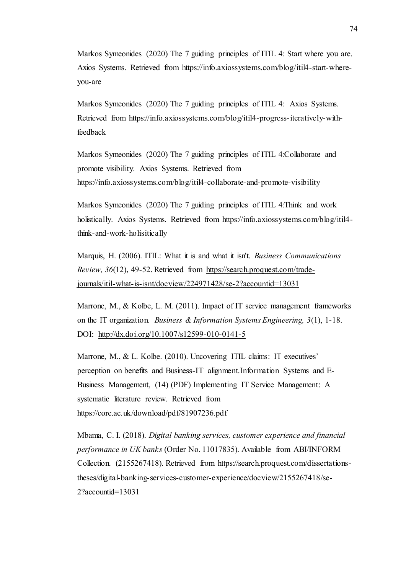Markos Symeonides (2020) The 7 guiding principles of ITIL 4: Start where you are. Axios Systems. Retrieved from https://info.axiossystems.com/blog/itil4-start-whereyou-are

Markos Symeonides (2020) The 7 guiding principles of ITIL 4: Axios Systems. Retrieved from https://info.axiossystems.com/blog/itil4-progress-iteratively-withfeedback

Markos Symeonides (2020) The 7 guiding principles of ITIL 4:Collaborate and promote visibility. Axios Systems. Retrieved from https://info.axiossystems.com/blog/itil4-collaborate-and-promote-visibility

Markos Symeonides (2020) The 7 guiding principles of ITIL 4:Think and work holistically. Axios Systems. Retrieved from https://info.axiossystems.com/blog/itil4think-and-work-holisitically

Marquis, H. (2006). ITIL: What it is and what it isn't. *Business Communications Review, 36*(12), 49-52. Retrieved from [https://search.proquest.com/trade](https://search.proquest.com/trade-journals/itil-what-is-isnt/docview/224971428/se-2?accountid=13031)[journals/itil-what-is-isnt/docview/224971428/se-2?accountid=13031](https://search.proquest.com/trade-journals/itil-what-is-isnt/docview/224971428/se-2?accountid=13031)

Marrone, M., & Kolbe, L. M. (2011). Impact of IT service management frameworks on the IT organization. *Business & Information Systems Engineering, 3*(1), 1-18. DOI: <http://dx.doi.org/10.1007/s12599-010-0141-5>

Marrone, M., & L. Kolbe. (2010). Uncovering ITIL claims: IT executives' perception on benefits and Business-IT alignment.Information Systems and E-Business Management, (14) (PDF) Implementing IT Service Management: A systematic literature review. Retrieved from https://core.ac.uk/download/pdf/81907236.pdf

Mbama, C. I. (2018). *Digital banking services, customer experience and financial performance in UK banks* (Order No. 11017835). Available from ABI/INFORM Collection. (2155267418). Retrieved from https://search.proquest.com/dissertationstheses/digital-banking-services-customer-experience/docview/2155267418/se-2?accountid=13031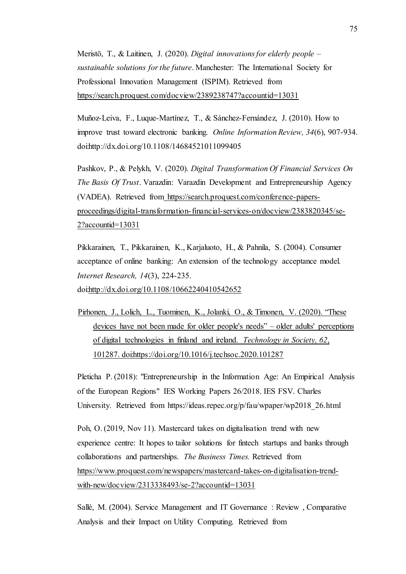Meristö, T., & Laitinen, J. (2020). *Digital innovations for elderly people – sustainable solutions for the future*. Manchester: The International Society for Professional Innovation Management (ISPIM). Retrieved fro[m](https://search.proquest.com/docview/2389238747?accountid=13031) <https://search.proquest.com/docview/2389238747?accountid=13031>

Muñoz-Leiva, F., Luque-Martínez, T., & Sánchez-Fernández, J. (2010). How to improve trust toward electronic banking. *Online Information Review, 34*(6), 907-934. doi:http://dx.doi.org/10.1108/14684521011099405

Pashkov, P., & Pelykh, V. (2020). *Digital Transformation Of Financial Services On The Basis Of Trust*. Varazdin: Varazdin Development and Entrepreneurship Agency (VADEA). Retrieved from [https://search.proquest.com/conference-papers](https://search.proquest.com/conference-papers-proceedings/digital-transformation-financial-services-on/docview/2383820345/se-2?accountid=13031)[proceedings/digital-transformation-financial-services-on/docview/2383820345/se-](https://search.proquest.com/conference-papers-proceedings/digital-transformation-financial-services-on/docview/2383820345/se-2?accountid=13031)[2?accountid=13031](https://search.proquest.com/conference-papers-proceedings/digital-transformation-financial-services-on/docview/2383820345/se-2?accountid=13031)

Pikkarainen, T., Pikkarainen, K., Karjaluoto, H., & Pahnila, S. (2004). Consumer acceptance of online banking: An extension of the technology acceptance model. *Internet Research, 14*(3), 224-235. doi[:http://dx.doi.org/10.1108/10662240410542652](http://dx.doi.org/10.1108/10662240410542652)

Pirhonen, J., Lolich, L., Tuominen, K., Jolanki, O., & Timonen, V. (2020). "These devices have not been made for older people's needs" – older adults' perceptions of digital technologies in finland and ireland. *Technology in Society, 62*, 101287. doi[:https://doi.org/10.1016/j.techsoc.2020.101287](https://doi.org/10.1016/j.techsoc.2020.101287)

Pleticha P. (2018): "Entrepreneurship in the Information Age: An Empirical Analysis of the European Regions" IES Working Papers 26/2018. IES FSV. Charles University. Retrieved from https://ideas.repec.org/p/fau/wpaper/wp2018 26.html

Poh, O. (2019, Nov 11). Mastercard takes on digitalisation trend with new experience centre: It hopes to tailor solutions for fintech startups and banks through collaborations and partnerships. *The Business Times.* Retrieved from [https://www.proquest.com/newspapers/mastercard-takes-on-digitalisation-trend](https://www.proquest.com/newspapers/mastercard-takes-on-digitalisation-trend-with-new/docview/2313338493/se-2?accountid=13031)[with-new/docview/2313338493/se-2?accountid=13031](https://www.proquest.com/newspapers/mastercard-takes-on-digitalisation-trend-with-new/docview/2313338493/se-2?accountid=13031)

Sallé, M. (2004). Service Management and IT Governance : Review , Comparative Analysis and their Impact on Utility Computing. Retrieved from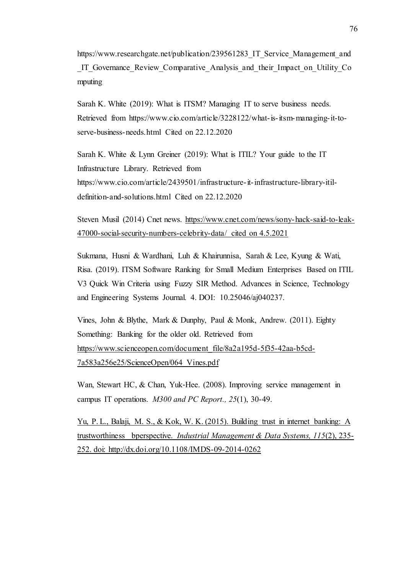https://www.researchgate.net/publication/239561283 IT Service Management and IT Governance Review Comparative Analysis and their Impact on Utility Co. mputing

Sarah K. White (2019): What is ITSM? Managing IT to serve business needs. Retrieved from https://www.cio.com/article/3228122/what-is-itsm-managing-it-toserve-business-needs.html Cited on 22.12.2020

Sarah K. White & Lynn Greiner (2019): What is ITIL? Your guide to the IT Infrastructure Library. Retrieved from https://www.cio.com/article/2439501/infrastructure-it-infrastructure-library-itildefinition-and-solutions.html Cited on 22.12.2020

Steven Musil (2014) Cnet news. [https://www.cnet.com/news/sony-hack-said-to-leak-](https://www.cnet.com/news/sony-hack-said-to-leak-47000-social-security-numbers-celebrity-data/)[47000-social-security-numbers-celebrity-data/](https://www.cnet.com/news/sony-hack-said-to-leak-47000-social-security-numbers-celebrity-data/) cited on 4.5.2021

Sukmana, Husni & Wardhani, Luh & Khairunnisa, Sarah & Lee, Kyung & Wati, Risa. (2019). ITSM Software Ranking for Small Medium Enterprises Based on ITIL V3 Quick Win Criteria using Fuzzy SIR Method. Advances in Science, Technology and Engineering Systems Journal. 4. DOI: 10.25046/aj040237.

Vines, John & Blythe, Mark & Dunphy, Paul & Monk, Andrew. (2011). Eighty Something: Banking for the older old. Retrieved from [https://www.scienceopen.com/document\\_file/8a2a195d-5f35-42aa-b5cd-](https://www.scienceopen.com/document_file/8a2a195d-5f35-42aa-b5cd-7a583a256e25/ScienceOpen/064_Vines.pdf)[7a583a256e25/ScienceOpen/064\\_Vines.pdf](https://www.scienceopen.com/document_file/8a2a195d-5f35-42aa-b5cd-7a583a256e25/ScienceOpen/064_Vines.pdf)

Wan, Stewart HC, & Chan, Yuk‐Hee. (2008). Improving service management in campus IT operations. *M300 and PC Report., 25*(1), 30-49.

Yu, P. L., Balaji, M. S., & Kok, W. K. (2015). Building trust in internet banking: A trustworthiness bperspective. *Industrial Management & Data Systems, 115*(2), 235- 252. doi: http://dx.doi.org/10.1108/IMDS-09-2014-0262